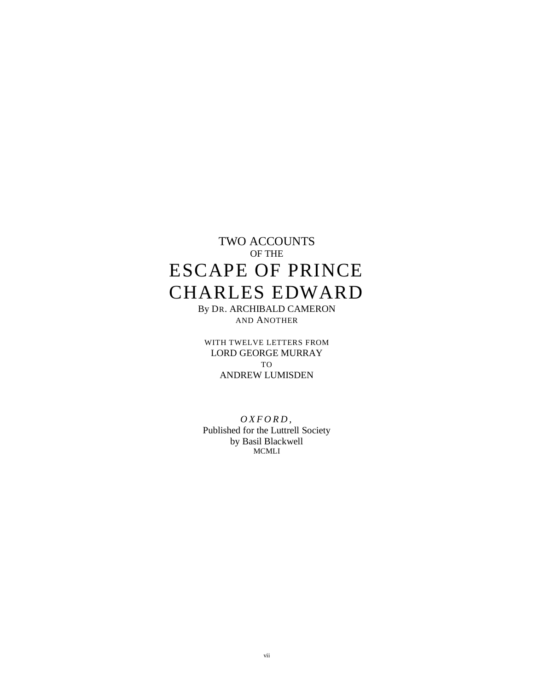# TWO ACCOUNTS OF THE ESCAPE OF PRINCE CHARLES EDWARD

By DR. ARCHIBALD CAMERON AND ANOTHER

WITH TWELVE LETTERS FROM LORD GEORGE MURRAY TO ANDREW LUMISDEN

*O X F O R D ,* Published for the Luttrell Society by Basil Blackwell MCMLI

vii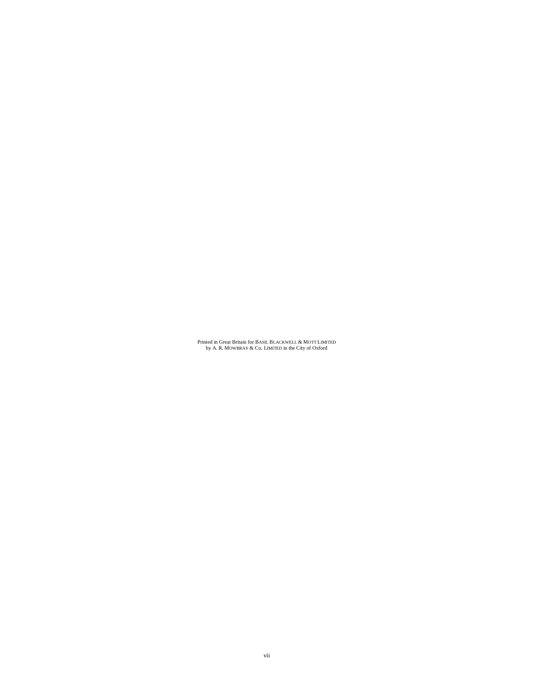Printed in Great Britain for BASIL BLACKWELL & MOTT LIMITED by A. R. MOWBRAY & Co. LIMITED in the City of Oxford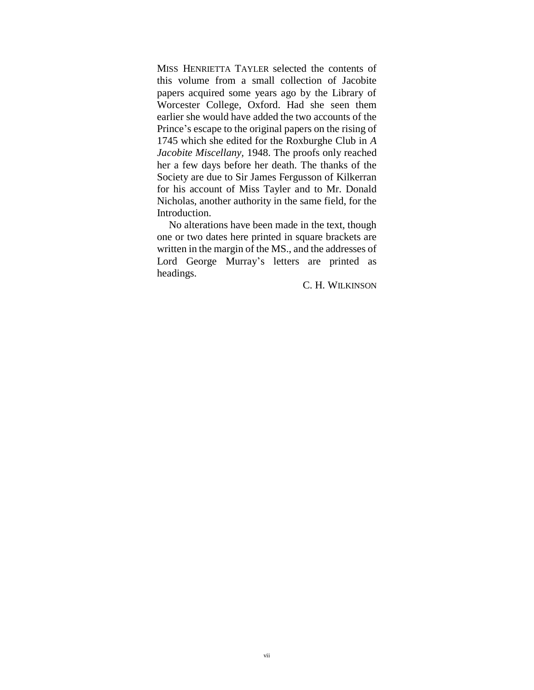MISS HENRIETTA TAYLER selected the contents of this volume from a small collection of Jacobite papers acquired some years ago by the Library of Worcester College, Oxford. Had she seen them earlier she would have added the two accounts of the Prince's escape to the original papers on the rising of 1745 which she edited for the Roxburghe Club in *A Jacobite Miscellany,* 1948. The proofs only reached her a few days before her death. The thanks of the Society are due to Sir James Fergusson of Kilkerran for his account of Miss Tayler and to Mr. Donald Nicholas, another authority in the same field, for the Introduction.

No alterations have been made in the text, though one or two dates here printed in square brackets are written in the margin of the MS., and the addresses of Lord George Murray's letters are printed as headings.

C. H. WILKINSON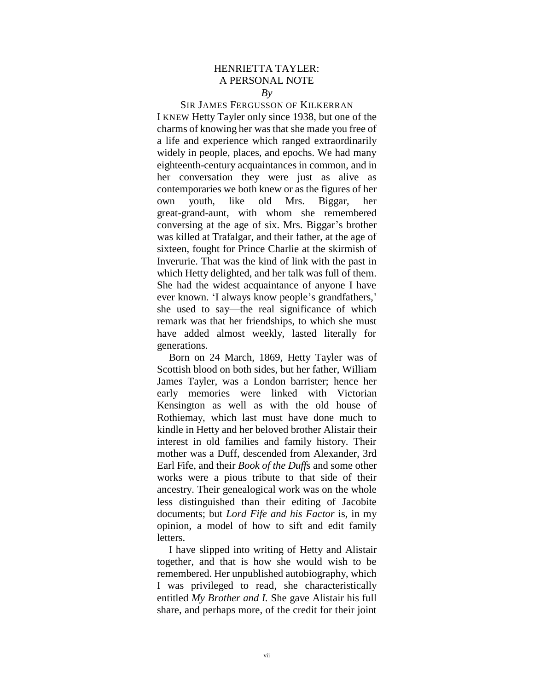# HENRIETTA TAYLER: A PERSONAL NOTE

### *By*

SIR JAMES FERGUSSON OF KILKERRAN I KNEW Hetty Tayler only since 1938, but one of the charms of knowing her was that she made you free of a life and experience which ranged extraordinarily widely in people, places, and epochs. We had many eighteenth-century acquaintances in common, and in her conversation they were just as alive as contemporaries we both knew or as the figures of her own youth, like old Mrs. Biggar, her great-grand-aunt, with whom she remembered conversing at the age of six. Mrs. Biggar's brother was killed at Trafalgar, and their father, at the age of sixteen, fought for Prince Charlie at the skirmish of Inverurie. That was the kind of link with the past in which Hetty delighted, and her talk was full of them. She had the widest acquaintance of anyone I have ever known. 'I always know people's grandfathers,' she used to say—the real significance of which remark was that her friendships, to which she must have added almost weekly, lasted literally for generations.

Born on 24 March, 1869, Hetty Tayler was of Scottish blood on both sides, but her father, William James Tayler, was a London barrister; hence her early memories were linked with Victorian Kensington as well as with the old house of Rothiemay, which last must have done much to kindle in Hetty and her beloved brother Alistair their interest in old families and family history. Their mother was a Duff, descended from Alexander, 3rd Earl Fife, and their *Book of the Duffs* and some other works were a pious tribute to that side of their ancestry. Their genealogical work was on the whole less distinguished than their editing of Jacobite documents; but *Lord Fife and his Factor* is, in my opinion, a model of how to sift and edit family letters.

I have slipped into writing of Hetty and Alistair together, and that is how she would wish to be remembered. Her unpublished autobiography, which I was privileged to read, she characteristically entitled *My Brother and I.* She gave Alistair his full share, and perhaps more, of the credit for their joint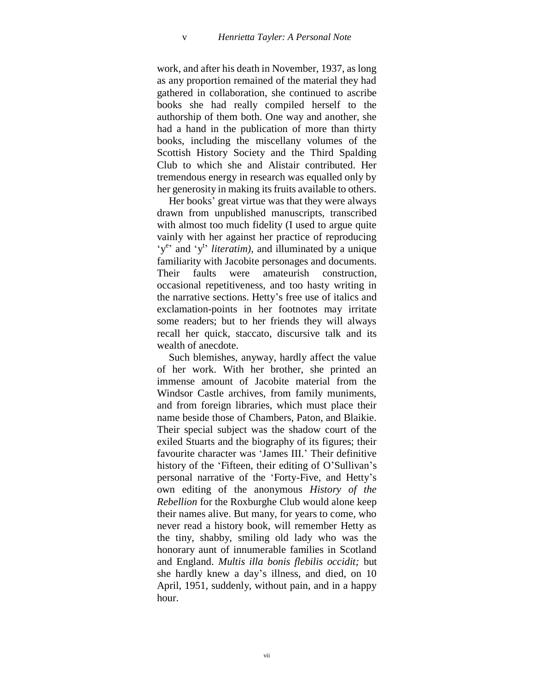work, and after his death in November, 1937, as long as any proportion remained of the material they had gathered in collaboration, she continued to ascribe books she had really compiled herself to the authorship of them both. One way and another, she had a hand in the publication of more than thirty books, including the miscellany volumes of the Scottish History Society and the Third Spalding Club to which she and Alistair contributed. Her tremendous energy in research was equalled only by her generosity in making its fruits available to others.

Her books' great virtue was that they were always drawn from unpublished manuscripts, transcribed with almost too much fidelity (I used to argue quite vainly with her against her practice of reproducing 'y<sup>e</sup> and 'y<sup>t</sup> *literatim*), and illuminated by a unique familiarity with Jacobite personages and documents. Their faults were amateurish construction, occasional repetitiveness, and too hasty writing in the narrative sections. Hetty"s free use of italics and exclamation-points in her footnotes may irritate some readers; but to her friends they will always recall her quick, staccato, discursive talk and its wealth of anecdote.

Such blemishes, anyway, hardly affect the value of her work. With her brother, she printed an immense amount of Jacobite material from the Windsor Castle archives, from family muniments, and from foreign libraries, which must place their name beside those of Chambers, Paton, and Blaikie. Their special subject was the shadow court of the exiled Stuarts and the biography of its figures; their favourite character was "James III." Their definitive history of the 'Fifteen, their editing of O'Sullivan's personal narrative of the "Forty-Five, and Hetty"s own editing of the anonymous *History of the Rebellion* for the Roxburghe Club would alone keep their names alive. But many, for years to come, who never read a history book, will remember Hetty as the tiny, shabby, smiling old lady who was the honorary aunt of innumerable families in Scotland and England. *Multis illa bonis flebilis occidit;* but she hardly knew a day"s illness, and died, on 10 April, 1951, suddenly, without pain, and in a happy hour.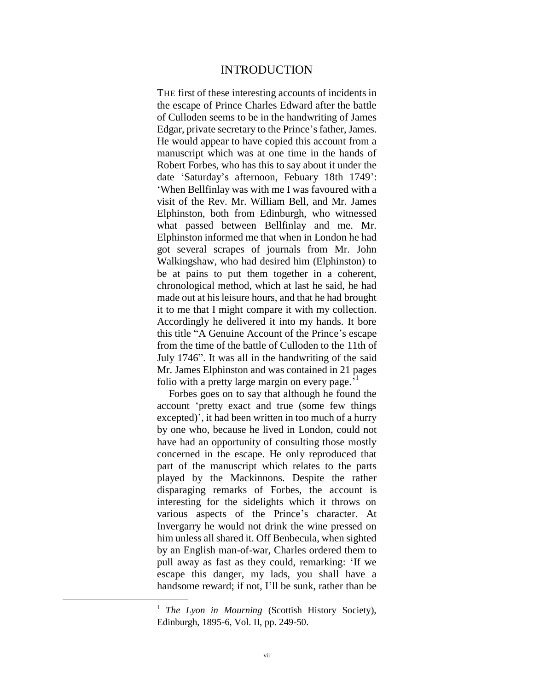#### INTRODUCTION

THE first of these interesting accounts of incidents in the escape of Prince Charles Edward after the battle of Culloden seems to be in the handwriting of James Edgar, private secretary to the Prince"s father, James. He would appear to have copied this account from a manuscript which was at one time in the hands of Robert Forbes, who has this to say about it under the date "Saturday"s afternoon, Febuary 18th 1749": "When Bellfinlay was with me I was favoured with a visit of the Rev. Mr. William Bell, and Mr. James Elphinston, both from Edinburgh, who witnessed what passed between Bellfinlay and me. Mr. Elphinston informed me that when in London he had got several scrapes of journals from Mr. John Walkingshaw, who had desired him (Elphinston) to be at pains to put them together in a coherent, chronological method, which at last he said, he had made out at his leisure hours, and that he had brought it to me that I might compare it with my collection. Accordingly he delivered it into my hands. It bore this title "A Genuine Account of the Prince"s escape from the time of the battle of Culloden to the 11th of July 1746". It was all in the handwriting of the said Mr. James Elphinston and was contained in 21 pages folio with a pretty large margin on every page.<sup>51</sup>

Forbes goes on to say that although he found the account "pretty exact and true (some few things excepted)', it had been written in too much of a hurry by one who, because he lived in London, could not have had an opportunity of consulting those mostly concerned in the escape. He only reproduced that part of the manuscript which relates to the parts played by the Mackinnons. Despite the rather disparaging remarks of Forbes, the account is interesting for the sidelights which it throws on various aspects of the Prince"s character. At Invergarry he would not drink the wine pressed on him unless all shared it. Off Benbecula, when sighted by an English man-of-war, Charles ordered them to pull away as fast as they could, remarking: "If we escape this danger, my lads, you shall have a handsome reward; if not, I"ll be sunk, rather than be

 $\overline{a}$ 

<sup>&</sup>lt;sup>1</sup> The Lyon in Mourning (Scottish History Society), Edinburgh, 1895-6, Vol. II, pp. 249-50.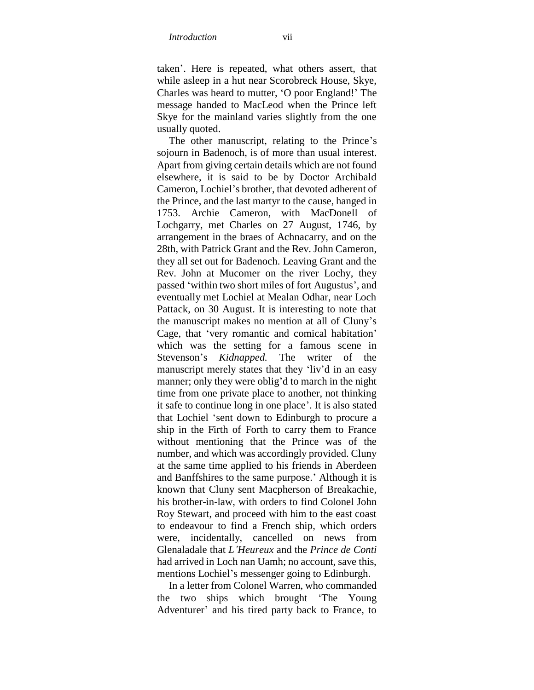taken". Here is repeated, what others assert, that while asleep in a hut near Scorobreck House, Skye, Charles was heard to mutter, "O poor England!" The message handed to MacLeod when the Prince left Skye for the mainland varies slightly from the one usually quoted.

The other manuscript, relating to the Prince's sojourn in Badenoch, is of more than usual interest. Apart from giving certain details which are not found elsewhere, it is said to be by Doctor Archibald Cameron, Lochiel"s brother, that devoted adherent of the Prince, and the last martyr to the cause, hanged in 1753. Archie Cameron, with MacDonell of Lochgarry, met Charles on 27 August, 1746, by arrangement in the braes of Achnacarry, and on the 28th, with Patrick Grant and the Rev. John Cameron, they all set out for Badenoch. Leaving Grant and the Rev. John at Mucomer on the river Lochy, they passed 'within two short miles of fort Augustus', and eventually met Lochiel at Mealan Odhar, near Loch Pattack, on 30 August. It is interesting to note that the manuscript makes no mention at all of Cluny"s Cage, that "very romantic and comical habitation" which was the setting for a famous scene in Stevenson"s *Kidnapped.* The writer of the manuscript merely states that they "liv"d in an easy manner; only they were oblig'd to march in the night time from one private place to another, not thinking it safe to continue long in one place". It is also stated that Lochiel "sent down to Edinburgh to procure a ship in the Firth of Forth to carry them to France without mentioning that the Prince was of the number, and which was accordingly provided. Cluny at the same time applied to his friends in Aberdeen and Banffshires to the same purpose.' Although it is known that Cluny sent Macpherson of Breakachie, his brother-in-law, with orders to find Colonel John Roy Stewart, and proceed with him to the east coast to endeavour to find a French ship, which orders were, incidentally, cancelled on news from Glenaladale that *L'Heureux* and the *Prince de Conti*  had arrived in Loch nan Uamh; no account, save this, mentions Lochiel"s messenger going to Edinburgh.

In a letter from Colonel Warren, who commanded the two ships which brought "The Young Adventurer' and his tired party back to France, to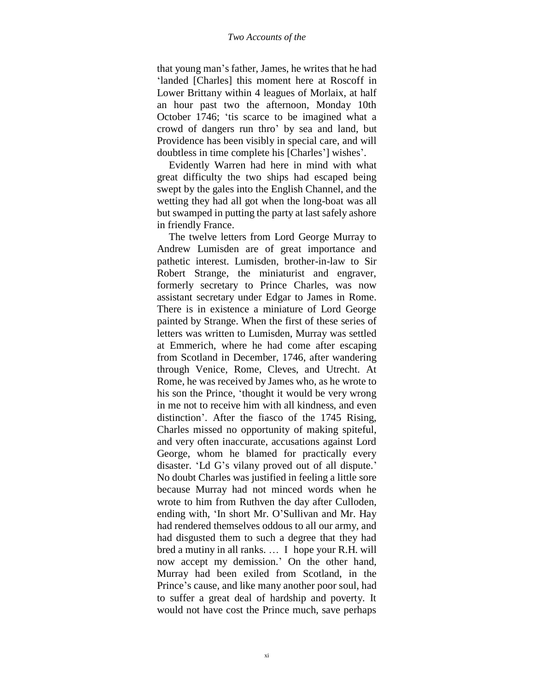#### *Two Accounts of the*

that young man"s father, James, he writes that he had 'landed [Charles] this moment here at Roscoff in Lower Brittany within 4 leagues of Morlaix, at half an hour past two the afternoon, Monday 10th October 1746; 'tis scarce to be imagined what a crowd of dangers run thro" by sea and land, but Providence has been visibly in special care, and will doubtless in time complete his [Charles'] wishes'.

Evidently Warren had here in mind with what great difficulty the two ships had escaped being swept by the gales into the English Channel, and the wetting they had all got when the long-boat was all but swamped in putting the party at last safely ashore in friendly France.

The twelve letters from Lord George Murray to Andrew Lumisden are of great importance and pathetic interest. Lumisden, brother-in-law to Sir Robert Strange, the miniaturist and engraver, formerly secretary to Prince Charles, was now assistant secretary under Edgar to James in Rome. There is in existence a miniature of Lord George painted by Strange. When the first of these series of letters was written to Lumisden, Murray was settled at Emmerich, where he had come after escaping from Scotland in December, 1746, after wandering through Venice, Rome, Cleves, and Utrecht. At Rome, he was received by James who, as he wrote to his son the Prince, "thought it would be very wrong in me not to receive him with all kindness, and even distinction". After the fiasco of the 1745 Rising, Charles missed no opportunity of making spiteful, and very often inaccurate, accusations against Lord George, whom he blamed for practically every disaster. 'Ld G's vilany proved out of all dispute.' No doubt Charles was justified in feeling a little sore because Murray had not minced words when he wrote to him from Ruthven the day after Culloden, ending with, "In short Mr. O"Sullivan and Mr. Hay had rendered themselves oddous to all our army, and had disgusted them to such a degree that they had bred a mutiny in all ranks. … I hope your R.H. will now accept my demission." On the other hand, Murray had been exiled from Scotland, in the Prince"s cause, and like many another poor soul, had to suffer a great deal of hardship and poverty. It would not have cost the Prince much, save perhaps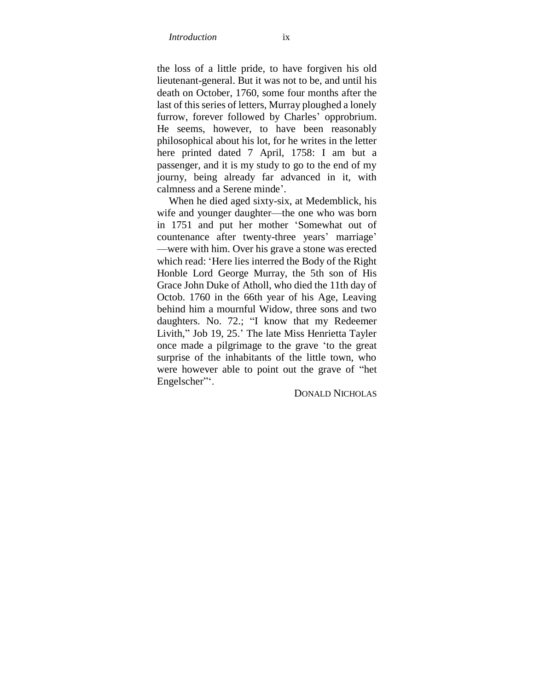the loss of a little pride, to have forgiven his old lieutenant-general. But it was not to be, and until his death on October, 1760, some four months after the last of this series of letters, Murray ploughed a lonely furrow, forever followed by Charles' opprobrium. He seems, however, to have been reasonably philosophical about his lot, for he writes in the letter here printed dated 7 April, 1758: I am but a passenger, and it is my study to go to the end of my journy, being already far advanced in it, with calmness and a Serene minde".

When he died aged sixty-six, at Medemblick, his wife and younger daughter—the one who was born in 1751 and put her mother "Somewhat out of countenance after twenty-three years' marriage' —were with him. Over his grave a stone was erected which read: "Here lies interred the Body of the Right Honble Lord George Murray, the 5th son of His Grace John Duke of Atholl, who died the 11th day of Octob. 1760 in the 66th year of his Age, Leaving behind him a mournful Widow, three sons and two daughters. No. 72.; "I know that my Redeemer Livith," Job 19, 25." The late Miss Henrietta Tayler once made a pilgrimage to the grave "to the great surprise of the inhabitants of the little town, who were however able to point out the grave of "het Engelscher".

DONALD NICHOLAS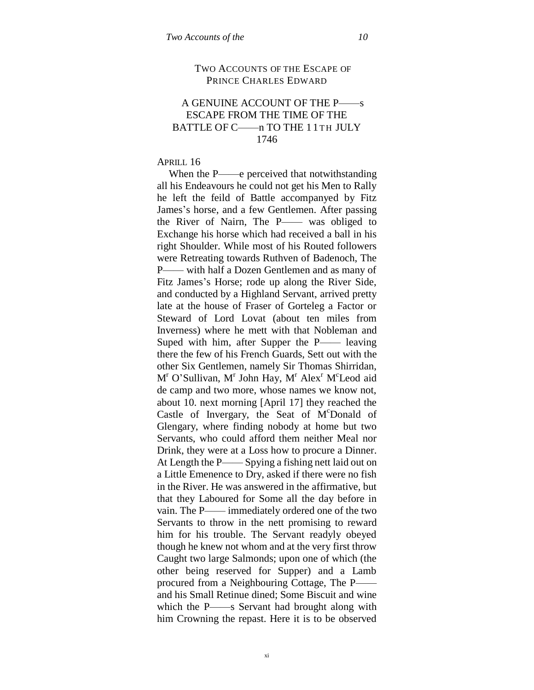#### TWO ACCOUNTS OF THE ESCAPE OF PRINCE CHARLES EDWARD

# A GENUINE ACCOUNT OF THE P——s ESCAPE FROM THE TIME OF THE BATTLE OF C——n TO THE 11TH JULY 1746

#### APRILL 16

When the P——e perceived that notwithstanding all his Endeavours he could not get his Men to Rally he left the feild of Battle accompanyed by Fitz James's horse, and a few Gentlemen. After passing the River of Nairn, The P—— was obliged to Exchange his horse which had received a ball in his right Shoulder. While most of his Routed followers were Retreating towards Ruthven of Badenoch, The P—— with half a Dozen Gentlemen and as many of Fitz James"s Horse; rode up along the River Side, and conducted by a Highland Servant, arrived pretty late at the house of Fraser of Gorteleg a Factor or Steward of Lord Lovat (about ten miles from Inverness) where he mett with that Nobleman and Suped with him, after Supper the P—— leaving there the few of his French Guards, Sett out with the other Six Gentlemen, namely Sir Thomas Shirridan, M<sup>r</sup> O'Sullivan, M<sup>r</sup> John Hay, M<sup>r</sup> Alex<sup>r</sup> M<sup>c</sup>Leod aid de camp and two more, whose names we know not, about 10. next morning [April 17] they reached the Castle of Invergary, the Seat of M<sup>c</sup>Donald of Glengary, where finding nobody at home but two Servants, who could afford them neither Meal nor Drink, they were at a Loss how to procure a Dinner. At Length the P—— Spying a fishing nett laid out on a Little Emenence to Dry, asked if there were no fish in the River. He was answered in the affirmative, but that they Laboured for Some all the day before in vain. The P—— immediately ordered one of the two Servants to throw in the nett promising to reward him for his trouble. The Servant readyly obeyed though he knew not whom and at the very first throw Caught two large Salmonds; upon one of which (the other being reserved for Supper) and a Lamb procured from a Neighbouring Cottage, The P— and his Small Retinue dined; Some Biscuit and wine which the P——s Servant had brought along with him Crowning the repast. Here it is to be observed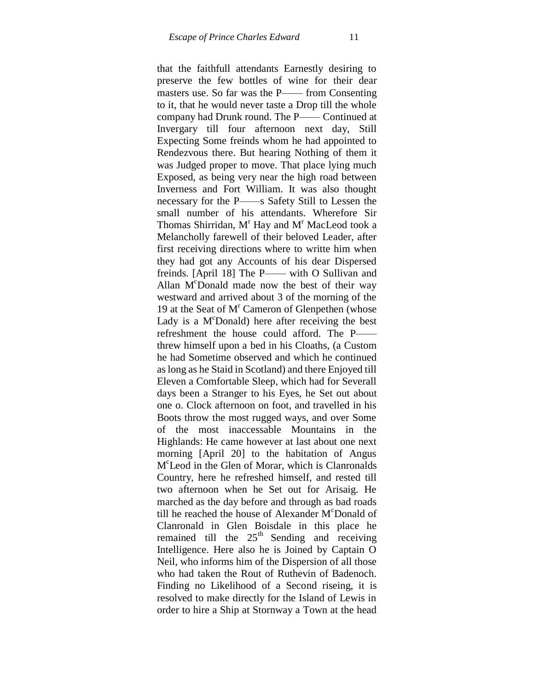that the faithfull attendants Earnestly desiring to preserve the few bottles of wine for their dear masters use. So far was the P—— from Consenting to it, that he would never taste a Drop till the whole company had Drunk round. The P—— Continued at Invergary till four afternoon next day, Still Expecting Some freinds whom he had appointed to Rendezvous there. But hearing Nothing of them it was Judged proper to move. That place lying much Exposed, as being very near the high road between Inverness and Fort William. It was also thought necessary for the P——s Safety Still to Lessen the small number of his attendants. Wherefore Sir Thomas Shirridan,  $M<sup>r</sup>$  Hay and  $M<sup>r</sup>$  MacLeod took a Melancholly farewell of their beloved Leader, after first receiving directions where to writte him when they had got any Accounts of his dear Dispersed freinds. [April 18] The P—— with O Sullivan and Allan  $M^c$ Donald made now the best of their way westward and arrived about 3 of the morning of the 19 at the Seat of  $M<sup>r</sup>$  Cameron of Glenpethen (whose Lady is a  $M^c$ Donald) here after receiving the best refreshment the house could afford. The P— threw himself upon a bed in his Cloaths, (a Custom he had Sometime observed and which he continued as long as he Staid in Scotland) and there Enjoyed till Eleven a Comfortable Sleep, which had for Severall days been a Stranger to his Eyes, he Set out about one o. Clock afternoon on foot, and travelled in his Boots throw the most rugged ways, and over Some of the most inaccessable Mountains in the Highlands: He came however at last about one next morning [April 20] to the habitation of Angus M c Leod in the Glen of Morar, which is Clanronalds Country, here he refreshed himself, and rested till two afternoon when he Set out for Arisaig. He marched as the day before and through as bad roads till he reached the house of Alexander  $M^c$ Donald of Clanronald in Glen Boisdale in this place he remained till the  $25<sup>th</sup>$  Sending and receiving Intelligence. Here also he is Joined by Captain O Neil, who informs him of the Dispersion of all those who had taken the Rout of Ruthevin of Badenoch. Finding no Likelihood of a Second riseing, it is resolved to make directly for the Island of Lewis in order to hire a Ship at Stornway a Town at the head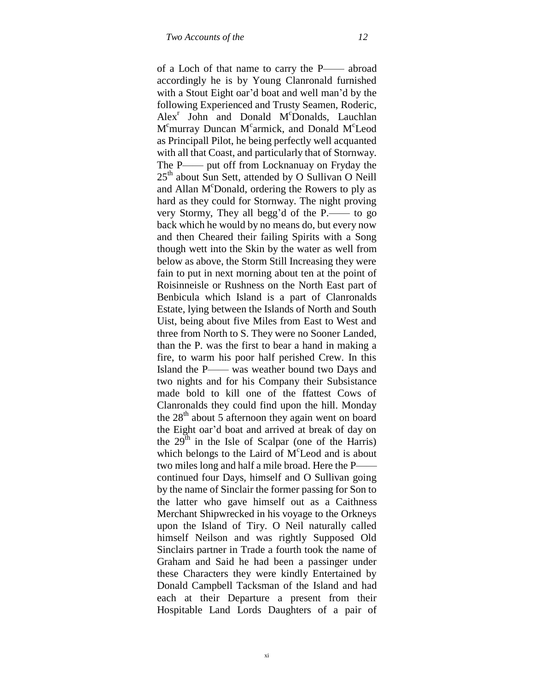of a Loch of that name to carry the P—— abroad accordingly he is by Young Clanronald furnished with a Stout Eight oar'd boat and well man'd by the following Experienced and Trusty Seamen, Roderic, Alex<sup>r</sup> John and Donald M<sup>c</sup>Donalds, Lauchlan M<sup>c</sup>murray Duncan M<sup>c</sup>armick, and Donald M<sup>c</sup>Leod as Principall Pilot, he being perfectly well acquanted with all that Coast, and particularly that of Stornway. The P—— put off from Locknanuay on Fryday the  $25<sup>th</sup>$  about Sun Sett, attended by O Sullivan O Neill and Allan M<sup>c</sup>Donald, ordering the Rowers to ply as hard as they could for Stornway. The night proving very Stormy, They all begg"d of the P.—— to go back which he would by no means do, but every now and then Cheared their failing Spirits with a Song though wett into the Skin by the water as well from below as above, the Storm Still Increasing they were fain to put in next morning about ten at the point of Roisinneisle or Rushness on the North East part of Benbicula which Island is a part of Clanronalds Estate, lying between the Islands of North and South Uist, being about five Miles from East to West and three from North to S. They were no Sooner Landed, than the P. was the first to bear a hand in making a fire, to warm his poor half perished Crew. In this Island the P—— was weather bound two Days and two nights and for his Company their Subsistance made bold to kill one of the ffattest Cows of Clanronalds they could find upon the hill. Monday the  $28<sup>th</sup>$  about 5 afternoon they again went on board the Eight oar"d boat and arrived at break of day on the  $29<sup>th</sup>$  in the Isle of Scalpar (one of the Harris) which belongs to the Laird of M<sup>c</sup>Leod and is about two miles long and half a mile broad. Here the P— continued four Days, himself and O Sullivan going by the name of Sinclair the former passing for Son to the latter who gave himself out as a Caithness Merchant Shipwrecked in his voyage to the Orkneys upon the Island of Tiry. O Neil naturally called himself Neilson and was rightly Supposed Old Sinclairs partner in Trade a fourth took the name of Graham and Said he had been a passinger under these Characters they were kindly Entertained by Donald Campbell Tacksman of the Island and had each at their Departure a present from their Hospitable Land Lords Daughters of a pair of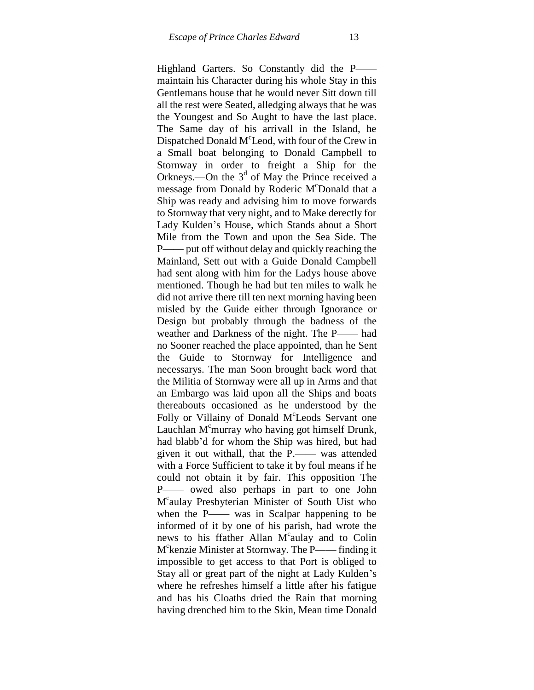Highland Garters. So Constantly did the P— maintain his Character during his whole Stay in this Gentlemans house that he would never Sitt down till all the rest were Seated, alledging always that he was the Youngest and So Aught to have the last place. The Same day of his arrivall in the Island, he Dispatched Donald M<sup>c</sup>Leod, with four of the Crew in a Small boat belonging to Donald Campbell to Stornway in order to freight a Ship for the Orkneys.—On the  $3<sup>d</sup>$  of May the Prince received a message from Donald by Roderic M<sup>c</sup>Donald that a Ship was ready and advising him to move forwards to Stornway that very night, and to Make derectly for Lady Kulden"s House, which Stands about a Short Mile from the Town and upon the Sea Side. The P—— put off without delay and quickly reaching the Mainland, Sett out with a Guide Donald Campbell had sent along with him for the Ladys house above mentioned. Though he had but ten miles to walk he did not arrive there till ten next morning having been misled by the Guide either through Ignorance or Design but probably through the badness of the weather and Darkness of the night. The P—— had no Sooner reached the place appointed, than he Sent the Guide to Stornway for Intelligence and necessarys. The man Soon brought back word that the Militia of Stornway were all up in Arms and that an Embargo was laid upon all the Ships and boats thereabouts occasioned as he understood by the Folly or Villainy of Donald M<sup>c</sup>Leods Servant one Lauchlan  $M<sup>c</sup>$ murray who having got himself Drunk, had blabb"d for whom the Ship was hired, but had given it out withall, that the P.—— was attended with a Force Sufficient to take it by foul means if he could not obtain it by fair. This opposition The P—— owed also perhaps in part to one John M c aulay Presbyterian Minister of South Uist who when the P—— was in Scalpar happening to be informed of it by one of his parish, had wrote the news to his ffather Allan M<sup>c</sup>aulay and to Colin M c kenzie Minister at Stornway. The P—— finding it impossible to get access to that Port is obliged to Stay all or great part of the night at Lady Kulden"s where he refreshes himself a little after his fatigue and has his Cloaths dried the Rain that morning having drenched him to the Skin, Mean time Donald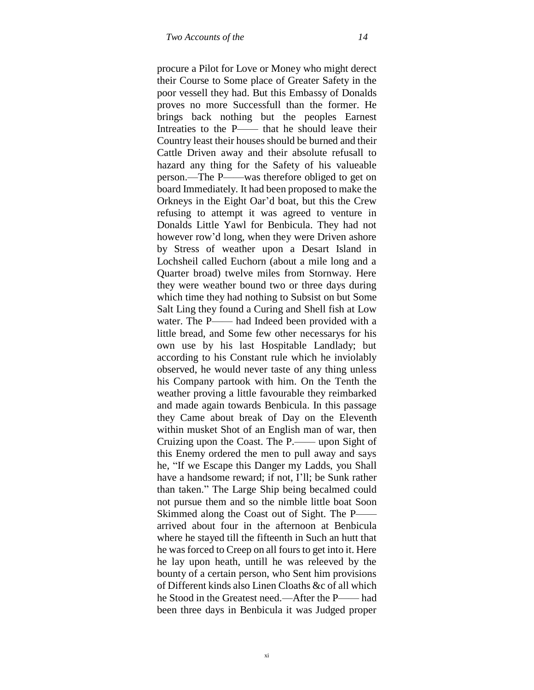procure a Pilot for Love or Money who might derect their Course to Some place of Greater Safety in the poor vessell they had. But this Embassy of Donalds proves no more Successfull than the former. He brings back nothing but the peoples Earnest Intreaties to the P—— that he should leave their Country least their houses should be burned and their Cattle Driven away and their absolute refusall to hazard any thing for the Safety of his valueable person.—The P——was therefore obliged to get on board Immediately. It had been proposed to make the Orkneys in the Eight Oar"d boat, but this the Crew refusing to attempt it was agreed to venture in Donalds Little Yawl for Benbicula. They had not however row"d long, when they were Driven ashore by Stress of weather upon a Desart Island in Lochsheil called Euchorn (about a mile long and a Quarter broad) twelve miles from Stornway. Here they were weather bound two or three days during which time they had nothing to Subsist on but Some Salt Ling they found a Curing and Shell fish at Low water. The P—— had Indeed been provided with a little bread, and Some few other necessarys for his own use by his last Hospitable Landlady; but according to his Constant rule which he inviolably observed, he would never taste of any thing unless his Company partook with him. On the Tenth the weather proving a little favourable they reimbarked and made again towards Benbicula. In this passage they Came about break of Day on the Eleventh within musket Shot of an English man of war, then Cruizing upon the Coast. The P.—— upon Sight of this Enemy ordered the men to pull away and says he, "If we Escape this Danger my Ladds, you Shall have a handsome reward; if not, I"ll; be Sunk rather than taken." The Large Ship being becalmed could not pursue them and so the nimble little boat Soon Skimmed along the Coast out of Sight. The P— arrived about four in the afternoon at Benbicula where he stayed till the fifteenth in Such an hutt that he was forced to Creep on all fours to get into it. Here he lay upon heath, untill he was releeved by the bounty of a certain person, who Sent him provisions of Different kinds also Linen Cloaths &c of all which he Stood in the Greatest need.—After the P—— had been three days in Benbicula it was Judged proper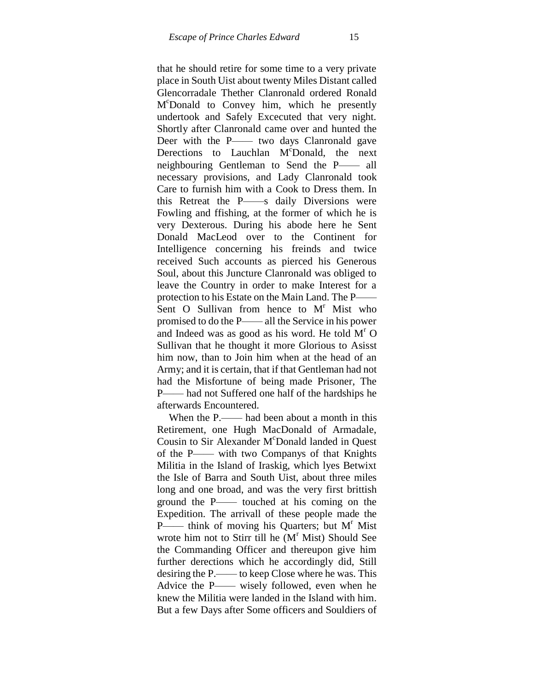that he should retire for some time to a very private place in South Uist about twenty Miles Distant called Glencorradale Thether Clanronald ordered Ronald M <sup>c</sup>Donald to Convey him, which he presently undertook and Safely Excecuted that very night. Shortly after Clanronald came over and hunted the Deer with the P—— two days Clanronald gave Derections to Lauchlan M<sup>c</sup>Donald, the next neighbouring Gentleman to Send the P—— all necessary provisions, and Lady Clanronald took Care to furnish him with a Cook to Dress them. In this Retreat the P——s daily Diversions were Fowling and ffishing, at the former of which he is very Dexterous. During his abode here he Sent Donald MacLeod over to the Continent for Intelligence concerning his freinds and twice received Such accounts as pierced his Generous Soul, about this Juncture Clanronald was obliged to leave the Country in order to make Interest for a protection to his Estate on the Main Land. The P—— Sent O Sullivan from hence to  $M<sup>r</sup>$  Mist who promised to do the P—— all the Service in his power and Indeed was as good as his word. He told  $M<sup>r</sup> O$ Sullivan that he thought it more Glorious to Asisst him now, than to Join him when at the head of an Army; and it is certain, that if that Gentleman had not had the Misfortune of being made Prisoner, The P—— had not Suffered one half of the hardships he afterwards Encountered.

When the P.—— had been about a month in this Retirement, one Hugh MacDonald of Armadale, Cousin to Sir Alexander M<sup>c</sup>Donald landed in Quest of the P—— with two Companys of that Knights Militia in the Island of Iraskig, which lyes Betwixt the Isle of Barra and South Uist, about three miles long and one broad, and was the very first brittish ground the P—— touched at his coming on the Expedition. The arrivall of these people made the P—— think of moving his Quarters; but  $M<sup>r</sup>$  Mist wrote him not to Stirr till he  $(M<sup>r</sup>$  Mist) Should See the Commanding Officer and thereupon give him further derections which he accordingly did, Still desiring the P.—— to keep Close where he was. This Advice the P—— wisely followed, even when he knew the Militia were landed in the Island with him. But a few Days after Some officers and Souldiers of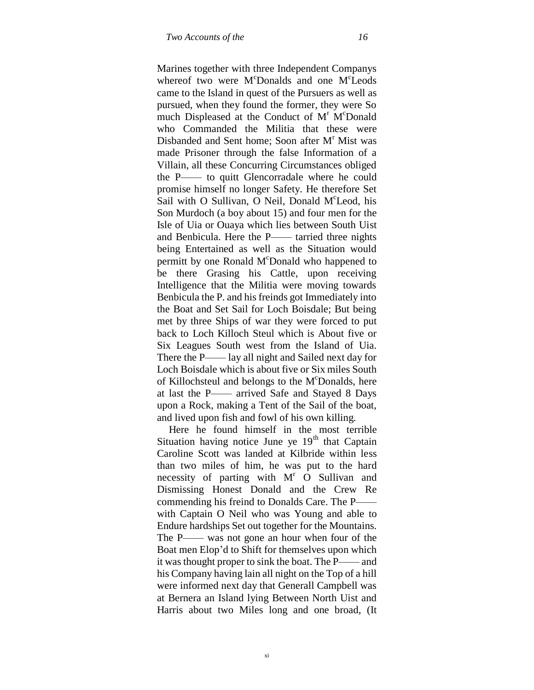Marines together with three Independent Companys whereof two were M<sup>c</sup>Donalds and one M<sup>c</sup>Leods came to the Island in quest of the Pursuers as well as pursued, when they found the former, they were So much Displeased at the Conduct of M<sup>r</sup> M<sup>c</sup>Donald who Commanded the Militia that these were Disbanded and Sent home: Soon after  $M<sup>r</sup>$  Mist was made Prisoner through the false Information of a Villain, all these Concurring Circumstances obliged the P—— to quitt Glencorradale where he could promise himself no longer Safety. He therefore Set Sail with O Sullivan, O Neil, Donald M°Leod, his Son Murdoch (a boy about 15) and four men for the Isle of Uia or Ouaya which lies between South Uist and Benbicula. Here the P—— tarried three nights being Entertained as well as the Situation would permitt by one Ronald M<sup>c</sup>Donald who happened to be there Grasing his Cattle, upon receiving Intelligence that the Militia were moving towards Benbicula the P. and his freinds got Immediately into the Boat and Set Sail for Loch Boisdale; But being met by three Ships of war they were forced to put back to Loch Killoch Steul which is About five or Six Leagues South west from the Island of Uia. There the P—— lay all night and Sailed next day for Loch Boisdale which is about five or Six miles South of Killochsteul and belongs to the M°Donalds, here at last the P—— arrived Safe and Stayed 8 Days upon a Rock, making a Tent of the Sail of the boat, and lived upon fish and fowl of his own killing.

Here he found himself in the most terrible Situation having notice June ye  $19<sup>th</sup>$  that Captain Caroline Scott was landed at Kilbride within less than two miles of him, he was put to the hard necessity of parting with  $M<sup>r</sup>$  O Sullivan and Dismissing Honest Donald and the Crew Re commending his freind to Donalds Care. The P— with Captain O Neil who was Young and able to Endure hardships Set out together for the Mountains. The P—— was not gone an hour when four of the Boat men Elop"d to Shift for themselves upon which it was thought proper to sink the boat. The P—— and his Company having lain all night on the Top of a hill were informed next day that Generall Campbell was at Bernera an Island lying Between North Uist and Harris about two Miles long and one broad, (It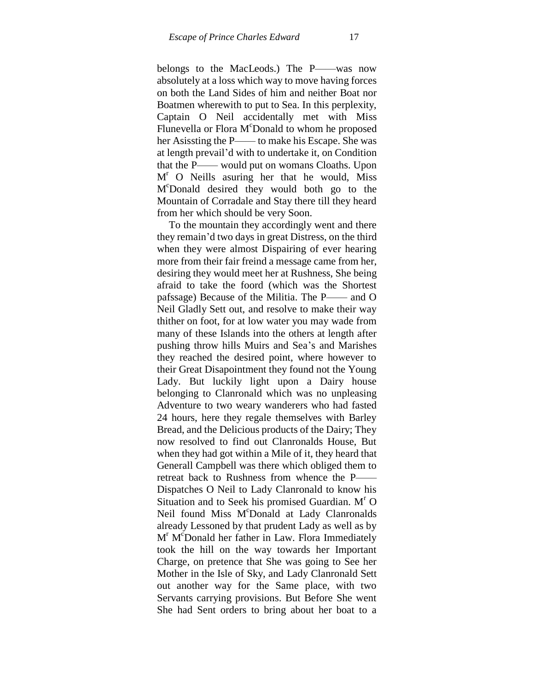belongs to the MacLeods.) The P——was now absolutely at a loss which way to move having forces on both the Land Sides of him and neither Boat nor Boatmen wherewith to put to Sea. In this perplexity, Captain O Neil accidentally met with Miss Flunevella or Flora M<sup>c</sup>Donald to whom he proposed her Asissting the P—— to make his Escape. She was at length prevail"d with to undertake it, on Condition that the P—— would put on womans Cloaths. Upon  $M<sup>r</sup>$  O Neills asuring her that he would, Miss M <sup>c</sup>Donald desired they would both go to the Mountain of Corradale and Stay there till they heard from her which should be very Soon.

To the mountain they accordingly went and there they remain"d two days in great Distress, on the third when they were almost Dispairing of ever hearing more from their fair freind a message came from her, desiring they would meet her at Rushness, She being afraid to take the foord (which was the Shortest pafssage) Because of the Militia. The P—— and O Neil Gladly Sett out, and resolve to make their way thither on foot, for at low water you may wade from many of these Islands into the others at length after pushing throw hills Muirs and Sea"s and Marishes they reached the desired point, where however to their Great Disapointment they found not the Young Lady. But luckily light upon a Dairy house belonging to Clanronald which was no unpleasing Adventure to two weary wanderers who had fasted 24 hours, here they regale themselves with Barley Bread, and the Delicious products of the Dairy; They now resolved to find out Clanronalds House, But when they had got within a Mile of it, they heard that Generall Campbell was there which obliged them to retreat back to Rushness from whence the P—— Dispatches O Neil to Lady Clanronald to know his Situation and to Seek his promised Guardian.  $M<sup>r</sup> O$ Neil found Miss M<sup>c</sup>Donald at Lady Clanronalds already Lessoned by that prudent Lady as well as by M<sup>r</sup> M<sup>c</sup>Donald her father in Law. Flora Immediately took the hill on the way towards her Important Charge, on pretence that She was going to See her Mother in the Isle of Sky, and Lady Clanronald Sett out another way for the Same place, with two Servants carrying provisions. But Before She went She had Sent orders to bring about her boat to a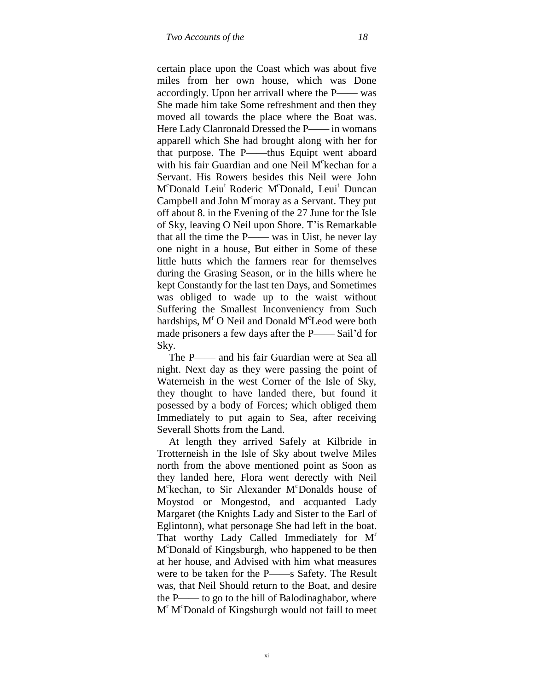certain place upon the Coast which was about five miles from her own house, which was Done accordingly. Upon her arrivall where the P—— was She made him take Some refreshment and then they moved all towards the place where the Boat was. Here Lady Clanronald Dressed the P—— in womans apparell which She had brought along with her for that purpose. The P——thus Equipt went aboard with his fair Guardian and one Neil  $M<sup>c</sup>$ kechan for a Servant. His Rowers besides this Neil were John M<sup>c</sup>Donald Leiu<sup>t</sup> Roderic M<sup>c</sup>Donald, Leui<sup>t</sup> Duncan Campbell and John  $M<sup>c</sup>$  moray as a Servant. They put off about 8. in the Evening of the 27 June for the Isle of Sky, leaving O Neil upon Shore. T"is Remarkable that all the time the P—— was in Uist, he never lay one night in a house, But either in Some of these little hutts which the farmers rear for themselves during the Grasing Season, or in the hills where he kept Constantly for the last ten Days, and Sometimes was obliged to wade up to the waist without Suffering the Smallest Inconveniency from Such hardships,  $M<sup>r</sup>$  O Neil and Donald  $M<sup>c</sup>$  Leod were both made prisoners a few days after the P—— Sail'd for Sky.

The P—— and his fair Guardian were at Sea all night. Next day as they were passing the point of Waterneish in the west Corner of the Isle of Sky, they thought to have landed there, but found it posessed by a body of Forces; which obliged them Immediately to put again to Sea, after receiving Severall Shotts from the Land.

At length they arrived Safely at Kilbride in Trotterneish in the Isle of Sky about twelve Miles north from the above mentioned point as Soon as they landed here, Flora went derectly with Neil M<sup>c</sup>kechan, to Sir Alexander M<sup>c</sup>Donalds house of Moystod or Mongestod, and acquanted Lady Margaret (the Knights Lady and Sister to the Earl of Eglintonn), what personage She had left in the boat. That worthy Lady Called Immediately for  $M<sup>r</sup>$ M <sup>c</sup>Donald of Kingsburgh, who happened to be then at her house, and Advised with him what measures were to be taken for the P——s Safety. The Result was, that Neil Should return to the Boat, and desire the P—— to go to the hill of Balodinaghabor, where M<sup>r</sup> M<sup>c</sup>Donald of Kingsburgh would not faill to meet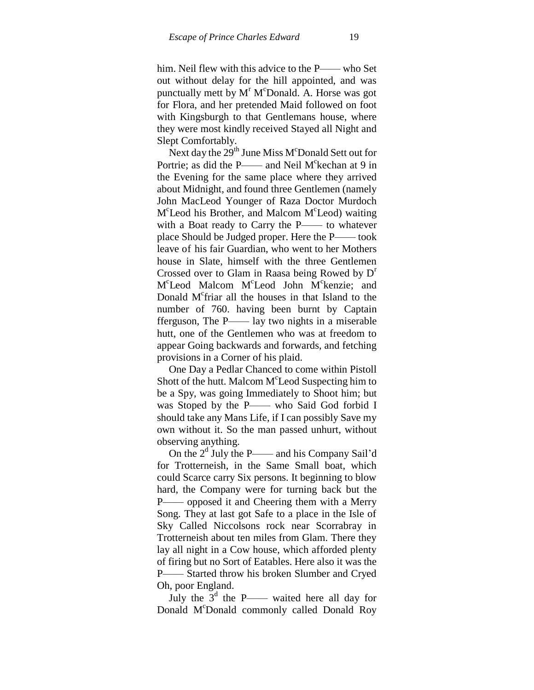him. Neil flew with this advice to the P—— who Set out without delay for the hill appointed, and was punctually mett by  $M<sup>r</sup> M<sup>c</sup>$ Donald. A. Horse was got for Flora, and her pretended Maid followed on foot with Kingsburgh to that Gentlemans house, where they were most kindly received Stayed all Night and Slept Comfortably.

Next day the  $29<sup>th</sup>$  June Miss M<sup>c</sup>Donald Sett out for Portrie; as did the P—— and Neil M<sup>c</sup>kechan at 9 in the Evening for the same place where they arrived about Midnight, and found three Gentlemen (namely John MacLeod Younger of Raza Doctor Murdoch M<sup>c</sup>Leod his Brother, and Malcom M<sup>c</sup>Leod) waiting with a Boat ready to Carry the P—— to whatever place Should be Judged proper. Here the P—— took leave of his fair Guardian, who went to her Mothers house in Slate, himself with the three Gentlemen Crossed over to Glam in Raasa being Rowed by  $D<sup>r</sup>$ M<sup>c</sup>Leod Malcom M<sup>c</sup>Leod John M<sup>c</sup>kenzie; and Donald M<sup>c</sup>friar all the houses in that Island to the number of 760. having been burnt by Captain fferguson, The P—— lay two nights in a miserable hutt, one of the Gentlemen who was at freedom to appear Going backwards and forwards, and fetching provisions in a Corner of his plaid.

One Day a Pedlar Chanced to come within Pistoll Shott of the hutt. Malcom M<sup>c</sup>Leod Suspecting him to be a Spy, was going Immediately to Shoot him; but was Stoped by the P—— who Said God forbid I should take any Mans Life, if I can possibly Save my own without it. So the man passed unhurt, without observing anything.

On the  $2<sup>d</sup>$  July the P—— and his Company Sail'd for Trotterneish, in the Same Small boat, which could Scarce carry Six persons. It beginning to blow hard, the Company were for turning back but the P—— opposed it and Cheering them with a Merry Song. They at last got Safe to a place in the Isle of Sky Called Niccolsons rock near Scorrabray in Trotterneish about ten miles from Glam. There they lay all night in a Cow house, which afforded plenty of firing but no Sort of Eatables. Here also it was the P—— Started throw his broken Slumber and Cryed Oh, poor England.

July the  $3<sup>d</sup>$  the P—— waited here all day for Donald M<sup>c</sup>Donald commonly called Donald Roy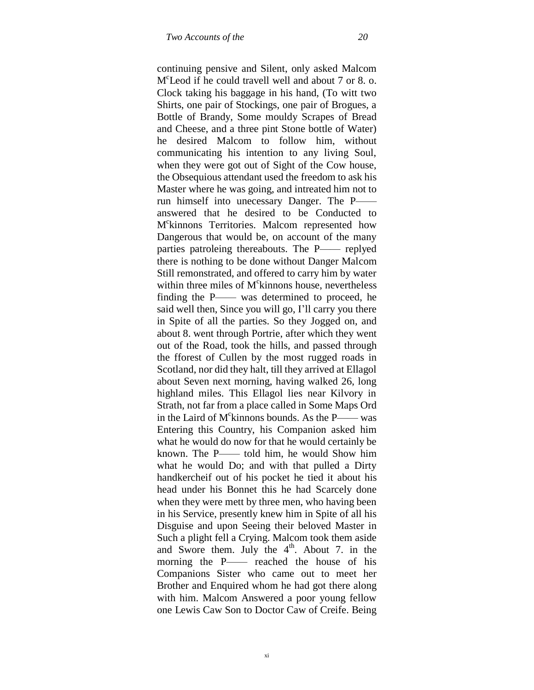continuing pensive and Silent, only asked Malcom M c Leod if he could travell well and about 7 or 8. o. Clock taking his baggage in his hand, (To witt two Shirts, one pair of Stockings, one pair of Brogues, a Bottle of Brandy, Some mouldy Scrapes of Bread and Cheese, and a three pint Stone bottle of Water) he desired Malcom to follow him, without communicating his intention to any living Soul, when they were got out of Sight of the Cow house, the Obsequious attendant used the freedom to ask his Master where he was going, and intreated him not to run himself into unecessary Danger. The P— answered that he desired to be Conducted to M c kinnons Territories. Malcom represented how Dangerous that would be, on account of the many parties patroleing thereabouts. The P—— replyed there is nothing to be done without Danger Malcom Still remonstrated, and offered to carry him by water within three miles of M<sup>c</sup>kinnons house, nevertheless finding the P—— was determined to proceed, he said well then, Since you will go, I"ll carry you there in Spite of all the parties. So they Jogged on, and about 8. went through Portrie, after which they went out of the Road, took the hills, and passed through the fforest of Cullen by the most rugged roads in Scotland, nor did they halt, till they arrived at Ellagol about Seven next morning, having walked 26, long highland miles. This Ellagol lies near Kilvory in Strath, not far from a place called in Some Maps Ord in the Laird of  $M^c$ kinnons bounds. As the P—— was Entering this Country, his Companion asked him what he would do now for that he would certainly be known. The P—— told him, he would Show him what he would Do; and with that pulled a Dirty handkercheif out of his pocket he tied it about his head under his Bonnet this he had Scarcely done when they were mett by three men, who having been in his Service, presently knew him in Spite of all his Disguise and upon Seeing their beloved Master in Such a plight fell a Crying. Malcom took them aside and Swore them. July the  $4<sup>th</sup>$ . About 7. in the morning the P—— reached the house of his Companions Sister who came out to meet her Brother and Enquired whom he had got there along with him. Malcom Answered a poor young fellow one Lewis Caw Son to Doctor Caw of Creife. Being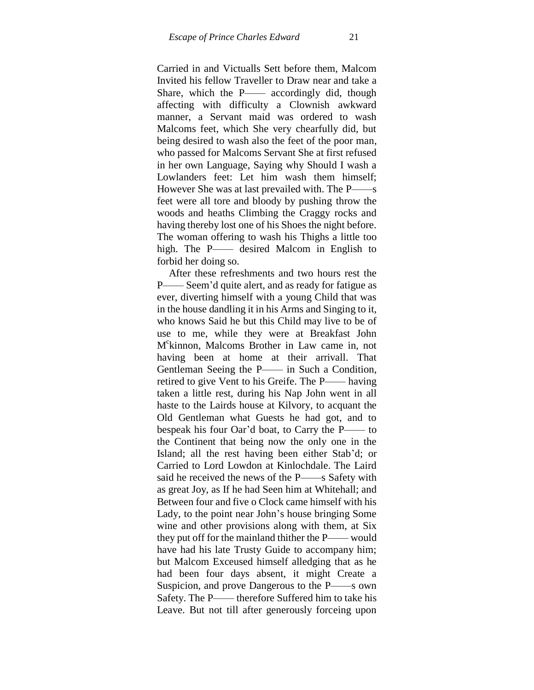Carried in and Victualls Sett before them, Malcom Invited his fellow Traveller to Draw near and take a Share, which the P—— accordingly did, though affecting with difficulty a Clownish awkward manner, a Servant maid was ordered to wash Malcoms feet, which She very chearfully did, but being desired to wash also the feet of the poor man, who passed for Malcoms Servant She at first refused in her own Language, Saying why Should I wash a Lowlanders feet: Let him wash them himself; However She was at last prevailed with. The P——s feet were all tore and bloody by pushing throw the woods and heaths Climbing the Craggy rocks and having thereby lost one of his Shoes the night before. The woman offering to wash his Thighs a little too high. The P—— desired Malcom in English to forbid her doing so.

After these refreshments and two hours rest the P—— Seem"d quite alert, and as ready for fatigue as ever, diverting himself with a young Child that was in the house dandling it in his Arms and Singing to it, who knows Said he but this Child may live to be of use to me, while they were at Breakfast John M c kinnon, Malcoms Brother in Law came in, not having been at home at their arrivall. That Gentleman Seeing the P—— in Such a Condition, retired to give Vent to his Greife. The P—— having taken a little rest, during his Nap John went in all haste to the Lairds house at Kilvory, to acquant the Old Gentleman what Guests he had got, and to bespeak his four Oar"d boat, to Carry the P—— to the Continent that being now the only one in the Island; all the rest having been either Stab"d; or Carried to Lord Lowdon at Kinlochdale. The Laird said he received the news of the P——s Safety with as great Joy, as If he had Seen him at Whitehall; and Between four and five o Clock came himself with his Lady, to the point near John"s house bringing Some wine and other provisions along with them, at Six they put off for the mainland thither the P—— would have had his late Trusty Guide to accompany him; but Malcom Exceused himself alledging that as he had been four days absent, it might Create a Suspicion, and prove Dangerous to the P——s own Safety. The P—— therefore Suffered him to take his Leave. But not till after generously forceing upon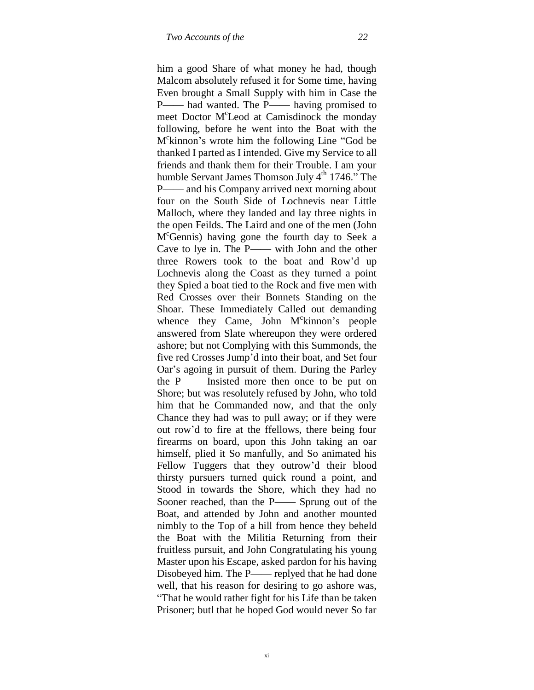him a good Share of what money he had, though Malcom absolutely refused it for Some time, having Even brought a Small Supply with him in Case the P—— had wanted. The P—— having promised to meet Doctor M<sup>c</sup>Leod at Camisdinock the monday following, before he went into the Boat with the M c kinnon"s wrote him the following Line "God be thanked I parted as I intended. Give my Service to all friends and thank them for their Trouble. I am your humble Servant James Thomson July  $4<sup>th</sup>$  1746." The P—— and his Company arrived next morning about four on the South Side of Lochnevis near Little Malloch, where they landed and lay three nights in the open Feilds. The Laird and one of the men (John M <sup>c</sup>Gennis) having gone the fourth day to Seek a Cave to lye in. The P—— with John and the other three Rowers took to the boat and Row"d up Lochnevis along the Coast as they turned a point they Spied a boat tied to the Rock and five men with Red Crosses over their Bonnets Standing on the Shoar. These Immediately Called out demanding whence they Came, John M°kinnon's people answered from Slate whereupon they were ordered ashore; but not Complying with this Summonds, the five red Crosses Jump"d into their boat, and Set four Oar"s agoing in pursuit of them. During the Parley the P—— Insisted more then once to be put on Shore; but was resolutely refused by John, who told him that he Commanded now, and that the only Chance they had was to pull away; or if they were out row"d to fire at the ffellows, there being four firearms on board, upon this John taking an oar himself, plied it So manfully, and So animated his Fellow Tuggers that they outrow"d their blood thirsty pursuers turned quick round a point, and Stood in towards the Shore, which they had no Sooner reached, than the P—— Sprung out of the Boat, and attended by John and another mounted nimbly to the Top of a hill from hence they beheld the Boat with the Militia Returning from their fruitless pursuit, and John Congratulating his young Master upon his Escape, asked pardon for his having Disobeyed him. The P—— replyed that he had done well, that his reason for desiring to go ashore was, "That he would rather fight for his Life than be taken Prisoner; butl that he hoped God would never So far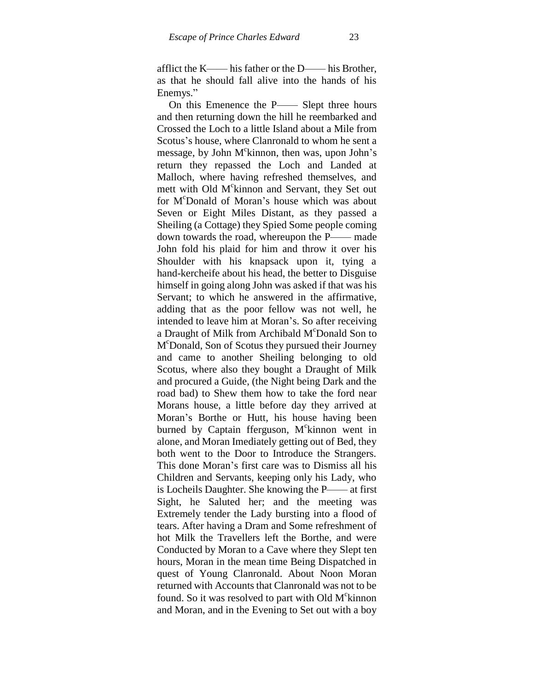afflict the K—— his father or the D—— his Brother, as that he should fall alive into the hands of his Enemys."

On this Emenence the P—— Slept three hours and then returning down the hill he reembarked and Crossed the Loch to a little Island about a Mile from Scotus's house, where Clanronald to whom he sent a message, by John M°kinnon, then was, upon John's return they repassed the Loch and Landed at Malloch, where having refreshed themselves, and mett with Old M<sup>c</sup>kinnon and Servant, they Set out for M<sup>c</sup>Donald of Moran's house which was about Seven or Eight Miles Distant, as they passed a Sheiling (a Cottage) they Spied Some people coming down towards the road, whereupon the P—— made John fold his plaid for him and throw it over his Shoulder with his knapsack upon it, tying a hand-kercheife about his head, the better to Disguise himself in going along John was asked if that was his Servant; to which he answered in the affirmative, adding that as the poor fellow was not well, he intended to leave him at Moran"s. So after receiving a Draught of Milk from Archibald M<sup>c</sup>Donald Son to M <sup>c</sup>Donald, Son of Scotus they pursued their Journey and came to another Sheiling belonging to old Scotus, where also they bought a Draught of Milk and procured a Guide, (the Night being Dark and the road bad) to Shew them how to take the ford near Morans house, a little before day they arrived at Moran"s Borthe or Hutt, his house having been burned by Captain fferguson, M°kinnon went in alone, and Moran Imediately getting out of Bed, they both went to the Door to Introduce the Strangers. This done Moran"s first care was to Dismiss all his Children and Servants, keeping only his Lady, who is Locheils Daughter. She knowing the P—— at first Sight, he Saluted her; and the meeting was Extremely tender the Lady bursting into a flood of tears. After having a Dram and Some refreshment of hot Milk the Travellers left the Borthe, and were Conducted by Moran to a Cave where they Slept ten hours, Moran in the mean time Being Dispatched in quest of Young Clanronald. About Noon Moran returned with Accounts that Clanronald was not to be found. So it was resolved to part with Old M<sup>c</sup>kinnon and Moran, and in the Evening to Set out with a boy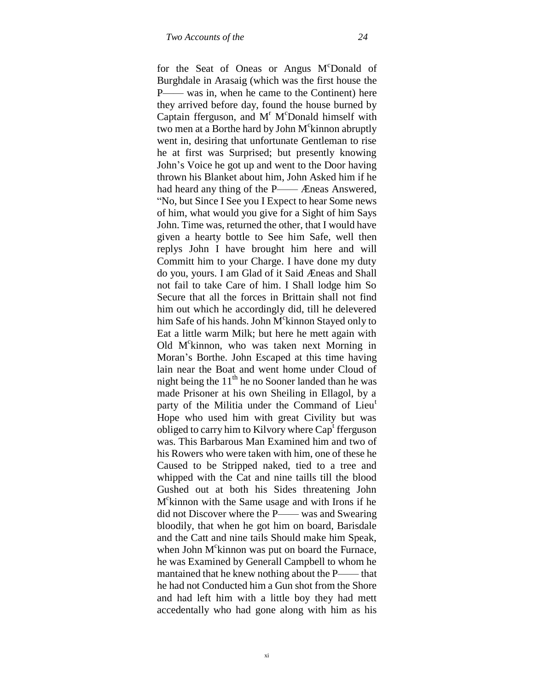for the Seat of Oneas or Angus M<sup>c</sup>Donald of Burghdale in Arasaig (which was the first house the P—— was in, when he came to the Continent) here they arrived before day, found the house burned by Captain fferguson, and  $M<sup>r</sup>$  M°Donald himself with two men at a Borthe hard by John  $M^c$ kinnon abruptly went in, desiring that unfortunate Gentleman to rise he at first was Surprised; but presently knowing John"s Voice he got up and went to the Door having thrown his Blanket about him, John Asked him if he had heard any thing of the P—— Æneas Answered, "No, but Since I See you I Expect to hear Some news of him, what would you give for a Sight of him Says John. Time was, returned the other, that I would have given a hearty bottle to See him Safe, well then replys John I have brought him here and will Committ him to your Charge. I have done my duty do you, yours. I am Glad of it Said Æneas and Shall not fail to take Care of him. I Shall lodge him So Secure that all the forces in Brittain shall not find him out which he accordingly did, till he delevered him Safe of his hands. John M<sup>c</sup>kinnon Stayed only to Eat a little warm Milk; but here he mett again with Old M°kinnon, who was taken next Morning in Moran"s Borthe. John Escaped at this time having lain near the Boat and went home under Cloud of night being the  $11<sup>th</sup>$  he no Sooner landed than he was made Prisoner at his own Sheiling in Ellagol, by a party of the Militia under the Command of Lieu<sup>t</sup> Hope who used him with great Civility but was obliged to carry him to Kilvory where  $Cap<sup>t</sup>$  fferguson was. This Barbarous Man Examined him and two of his Rowers who were taken with him, one of these he Caused to be Stripped naked, tied to a tree and whipped with the Cat and nine taills till the blood Gushed out at both his Sides threatening John M c kinnon with the Same usage and with Irons if he did not Discover where the P—— was and Swearing bloodily, that when he got him on board, Barisdale and the Catt and nine tails Should make him Speak, when John  $M^c$ kinnon was put on board the Furnace, he was Examined by Generall Campbell to whom he mantained that he knew nothing about the P—— that he had not Conducted him a Gun shot from the Shore and had left him with a little boy they had mett accedentally who had gone along with him as his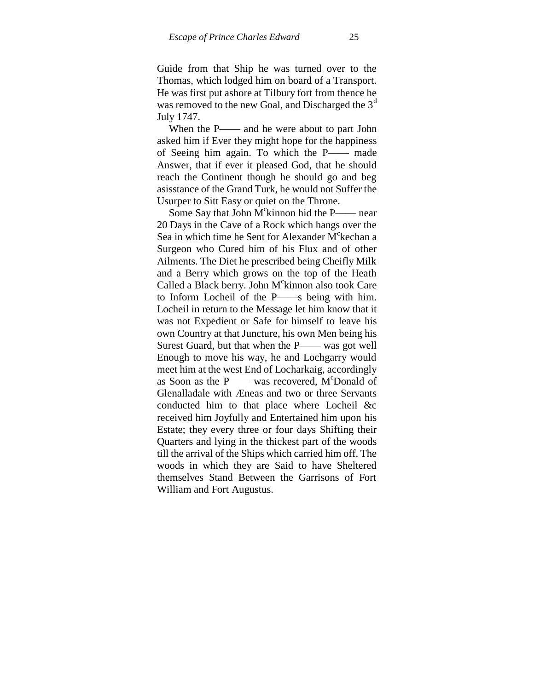Guide from that Ship he was turned over to the Thomas, which lodged him on board of a Transport. He was first put ashore at Tilbury fort from thence he was removed to the new Goal, and Discharged the  $3<sup>a</sup>$ July 1747.

When the P—— and he were about to part John asked him if Ever they might hope for the happiness of Seeing him again. To which the P—— made Answer, that if ever it pleased God, that he should reach the Continent though he should go and beg asisstance of the Grand Turk, he would not Suffer the Usurper to Sitt Easy or quiet on the Throne.

Some Say that John  $M^c$ kinnon hid the P—— near 20 Days in the Cave of a Rock which hangs over the Sea in which time he Sent for Alexander M<sup>c</sup>kechan a Surgeon who Cured him of his Flux and of other Ailments. The Diet he prescribed being Cheifly Milk and a Berry which grows on the top of the Heath Called a Black berry. John M<sup>c</sup>kinnon also took Care to Inform Locheil of the P——s being with him. Locheil in return to the Message let him know that it was not Expedient or Safe for himself to leave his own Country at that Juncture, his own Men being his Surest Guard, but that when the P—— was got well Enough to move his way, he and Lochgarry would meet him at the west End of Locharkaig, accordingly as Soon as the P—— was recovered, M°Donald of Glenalladale with Æneas and two or three Servants conducted him to that place where Locheil &c received him Joyfully and Entertained him upon his Estate; they every three or four days Shifting their Quarters and lying in the thickest part of the woods till the arrival of the Ships which carried him off. The woods in which they are Said to have Sheltered themselves Stand Between the Garrisons of Fort William and Fort Augustus.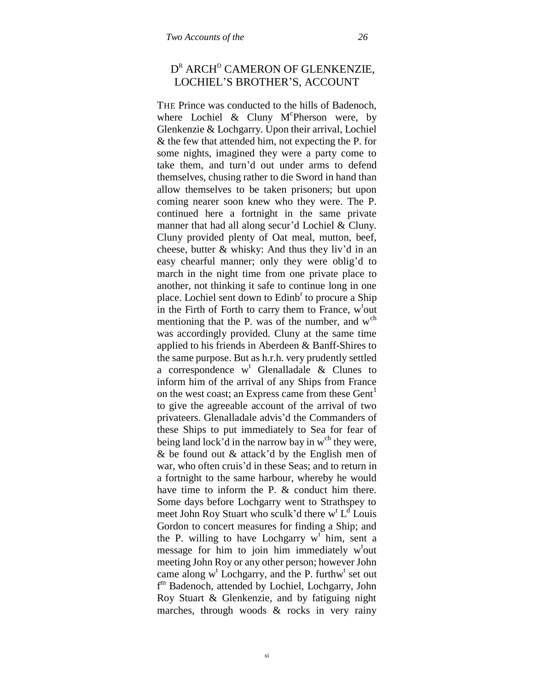# D<sup>R</sup> ARCH<sup>D</sup> CAMERON OF GLENKENZIE, LOCHIEL"S BROTHER"S, ACCOUNT

THE Prince was conducted to the hills of Badenoch, where Lochiel & Cluny  $M^c$ Pherson were, by Glenkenzie & Lochgarry. Upon their arrival, Lochiel & the few that attended him, not expecting the P. for some nights, imagined they were a party come to take them, and turn"d out under arms to defend themselves, chusing rather to die Sword in hand than allow themselves to be taken prisoners; but upon coming nearer soon knew who they were. The P. continued here a fortnight in the same private manner that had all along secur'd Lochiel & Cluny. Cluny provided plenty of Oat meal, mutton, beef, cheese, butter  $\&$  whisky: And thus they liv'd in an easy chearful manner; only they were oblig"d to march in the night time from one private place to another, not thinking it safe to continue long in one place. Lochiel sent down to Edinb<sup>r</sup> to procure a Ship in the Firth of Forth to carry them to France,  $w^t$ out mentioning that the P. was of the number, and  $w<sup>ch</sup>$ was accordingly provided. Cluny at the same time applied to his friends in Aberdeen & Banff-Shires to the same purpose. But as h.r.h. very prudently settled a correspondence  $w^t$  Glenalladale & Clunes to inform him of the arrival of any Ships from France on the west coast; an Express came from these Gent<sup>1</sup> to give the agreeable account of the arrival of two privateers. Glenalladale advis"d the Commanders of these Ships to put immediately to Sea for fear of being land lock'd in the narrow bay in  $w<sup>ch</sup>$  they were, & be found out & attack"d by the English men of war, who often cruis'd in these Seas; and to return in a fortnight to the same harbour, whereby he would have time to inform the P. & conduct him there. Some days before Lochgarry went to Strathspey to meet John Roy Stuart who sculk'd there  $w^t L^d$  Louis Gordon to concert measures for finding a Ship; and the P. willing to have Lochgarry  $w^t$  him, sent a message for him to join him immediately w<sup>t</sup>out meeting John Roy or any other person; however John came along  $w^t$  Lochgarry, and the P. furthw<sup>t</sup> set out f <sup>m</sup> Badenoch, attended by Lochiel, Lochgarry, John Roy Stuart & Glenkenzie, and by fatiguing night marches, through woods & rocks in very rainy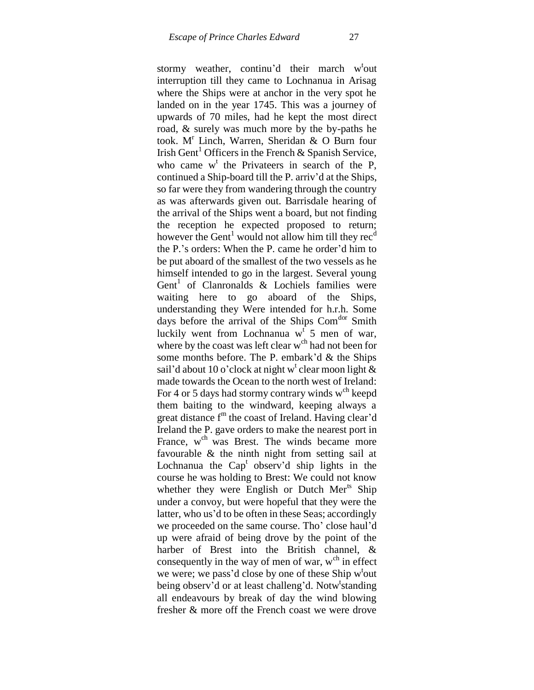stormy weather, continu'd their march w<sup>t</sup>out interruption till they came to Lochnanua in Arisag where the Ships were at anchor in the very spot he landed on in the year 1745. This was a journey of upwards of 70 miles, had he kept the most direct road, & surely was much more by the by-paths he took. M<sup>r</sup> Linch, Warren, Sheridan & O Burn four Irish Gent<sup>1</sup> Officers in the French & Spanish Service, who came  $w^t$  the Privateers in search of the P, continued a Ship-board till the P. arriv"d at the Ships, so far were they from wandering through the country as was afterwards given out. Barrisdale hearing of the arrival of the Ships went a board, but not finding the reception he expected proposed to return; however the Gent<sup>1</sup> would not allow him till they rec<sup> $d$ </sup> the P."s orders: When the P. came he order"d him to be put aboard of the smallest of the two vessels as he himself intended to go in the largest. Several young Gent<sup>1</sup> of Clanronalds & Lochiels families were waiting here to go aboard of the Ships, understanding they Were intended for h.r.h. Some days before the arrival of the Ships Com<sup>dor</sup> Smith luckily went from Lochnanua  $w^t$  5 men of war, where by the coast was left clear w<sup>ch</sup> had not been for some months before. The P. embark'd  $&$  the Ships sail'd about 10 o'clock at night w<sup>t</sup> clear moon light  $\&$ made towards the Ocean to the north west of Ireland: For 4 or 5 days had stormy contrary winds  $w<sup>ch</sup>$  keepd them baiting to the windward, keeping always a great distance  $f<sup>m</sup>$  the coast of Ireland. Having clear'd Ireland the P. gave orders to make the nearest port in France, w<sup>ch</sup> was Brest. The winds became more favourable & the ninth night from setting sail at Lochnanua the Cap<sup>t</sup> observ'd ship lights in the course he was holding to Brest: We could not know whether they were English or Dutch Mer<sup>ts</sup> Ship under a convoy, but were hopeful that they were the latter, who us'd to be often in these Seas; accordingly we proceeded on the same course. Tho' close haul'd up were afraid of being drove by the point of the harber of Brest into the British channel, & consequently in the way of men of war,  $w<sup>ch</sup>$  in effect we were; we pass'd close by one of these Ship w<sup>t</sup>out being observ'd or at least challeng'd. Notw<sup>t</sup>standing all endeavours by break of day the wind blowing fresher & more off the French coast we were drove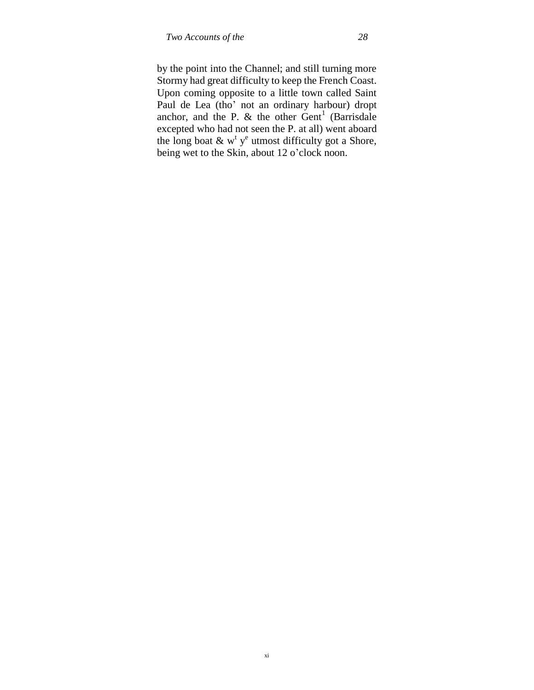by the point into the Channel; and still turning more Stormy had great difficulty to keep the French Coast. Upon coming opposite to a little town called Saint Paul de Lea (tho" not an ordinary harbour) dropt anchor, and the P.  $\&$  the other  $\text{Gent}^1$  (Barrisdale excepted who had not seen the P. at all) went aboard the long boat  $\&$  w<sup>t</sup> y<sup>e</sup> utmost difficulty got a Shore, being wet to the Skin, about 12 o'clock noon.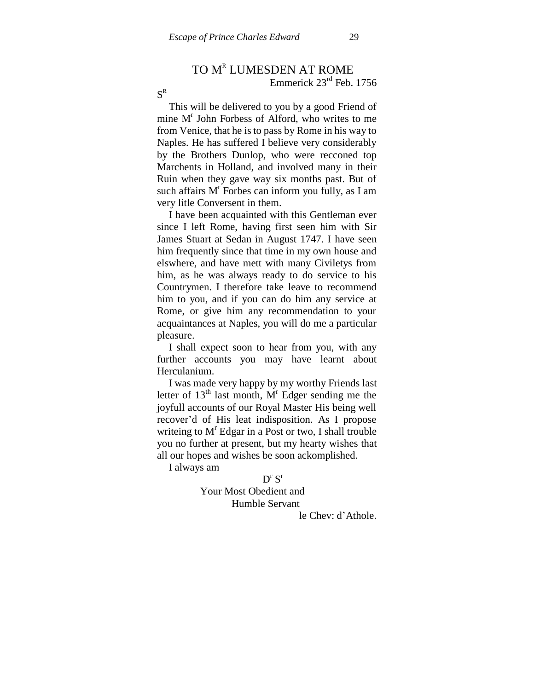# TO MR LUMESDEN AT ROME

Emmerick 23rd Feb. 1756

 $\text{S}^{\text{R}}$ 

This will be delivered to you by a good Friend of mine M<sup>r</sup> John Forbess of Alford, who writes to me from Venice, that he is to pass by Rome in his way to Naples. He has suffered I believe very considerably by the Brothers Dunlop, who were recconed top Marchents in Holland, and involved many in their Ruin when they gave way six months past. But of such affairs  $M<sup>r</sup>$  Forbes can inform you fully, as I am very litle Conversent in them.

I have been acquainted with this Gentleman ever since I left Rome, having first seen him with Sir James Stuart at Sedan in August 1747. I have seen him frequently since that time in my own house and elswhere, and have mett with many Civiletys from him, as he was always ready to do service to his Countrymen. I therefore take leave to recommend him to you, and if you can do him any service at Rome, or give him any recommendation to your acquaintances at Naples, you will do me a particular pleasure.

I shall expect soon to hear from you, with any further accounts you may have learnt about Herculanium.

I was made very happy by my worthy Friends last letter of  $13<sup>th</sup>$  last month,  $M<sup>r</sup>$  Edger sending me the joyfull accounts of our Royal Master His being well recover"d of His leat indisposition. As I propose writeing to  $M<sup>r</sup>$  Edgar in a Post or two, I shall trouble you no further at present, but my hearty wishes that all our hopes and wishes be soon ackomplished.

I always am

# $D^{r}S^{r}$

# Your Most Obedient and Humble Servant

le Chev: d"Athole.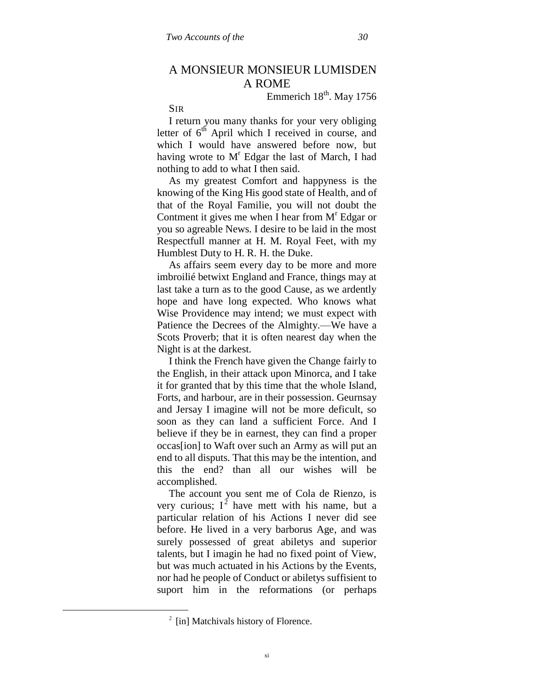# A MONSIEUR MONSIEUR LUMISDEN A ROME

Emmerich  $18^{th}$ . May 1756

SIR

I return you many thanks for your very obliging letter of  $6<sup>th</sup>$  April which I received in course, and which I would have answered before now, but having wrote to  $M<sup>r</sup>$  Edgar the last of March, I had nothing to add to what I then said.

As my greatest Comfort and happyness is the knowing of the King His good state of Health, and of that of the Royal Familie, you will not doubt the Contment it gives me when I hear from  $M<sup>r</sup>$  Edgar or you so agreable News. I desire to be laid in the most Respectfull manner at H. M. Royal Feet, with my Humblest Duty to H. R. H. the Duke.

As affairs seem every day to be more and more imbroilié betwixt England and France, things may at last take a turn as to the good Cause, as we ardently hope and have long expected. Who knows what Wise Providence may intend; we must expect with Patience the Decrees of the Almighty.—We have a Scots Proverb; that it is often nearest day when the Night is at the darkest.

I think the French have given the Change fairly to the English, in their attack upon Minorca, and I take it for granted that by this time that the whole Island, Forts, and harbour, are in their possession. Geurnsay and Jersay I imagine will not be more deficult, so soon as they can land a sufficient Force. And I believe if they be in earnest, they can find a proper occas[ion] to Waft over such an Army as will put an end to all disputs. That this may be the intention, and this the end? than all our wishes will be accomplished.

The account you sent me of Cola de Rienzo, is very curious;  $I^2$  have mett with his name, but a particular relation of his Actions I never did see before. He lived in a very barborus Age, and was surely possessed of great abiletys and superior talents, but I imagin he had no fixed point of View, but was much actuated in his Actions by the Events, nor had he people of Conduct or abiletys suffisient to suport him in the reformations (or perhaps

 $\overline{a}$ 

 $2$  [in] Matchivals history of Florence.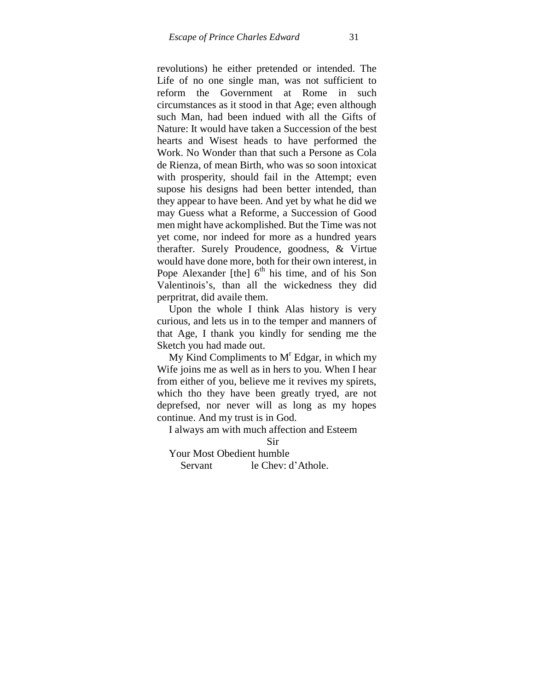revolutions) he either pretended or intended. The Life of no one single man, was not sufficient to reform the Government at Rome in such circumstances as it stood in that Age; even although such Man, had been indued with all the Gifts of Nature: It would have taken a Succession of the best hearts and Wisest heads to have performed the Work. No Wonder than that such a Persone as Cola de Rienza, of mean Birth, who was so soon intoxicat with prosperity, should fail in the Attempt; even supose his designs had been better intended, than they appear to have been. And yet by what he did we may Guess what a Reforme, a Succession of Good men might have ackomplished. But the Time was not yet come, nor indeed for more as a hundred years therafter. Surely Proudence, goodness, & Virtue would have done more, both for their own interest, in Pope Alexander [the]  $6<sup>th</sup>$  his time, and of his Son Valentinois"s, than all the wickedness they did perpritrat, did availe them.

Upon the whole I think Alas history is very curious, and lets us in to the temper and manners of that Age, I thank you kindly for sending me the Sketch you had made out.

My Kind Compliments to  $M<sup>r</sup>$  Edgar, in which my Wife joins me as well as in hers to you. When I hear from either of you, believe me it revives my spirets, which tho they have been greatly tryed, are not deprefsed, nor never will as long as my hopes continue. And my trust is in God.

I always am with much affection and Esteem

Sir

Your Most Obedient humble

Servant le Chev: d'Athole.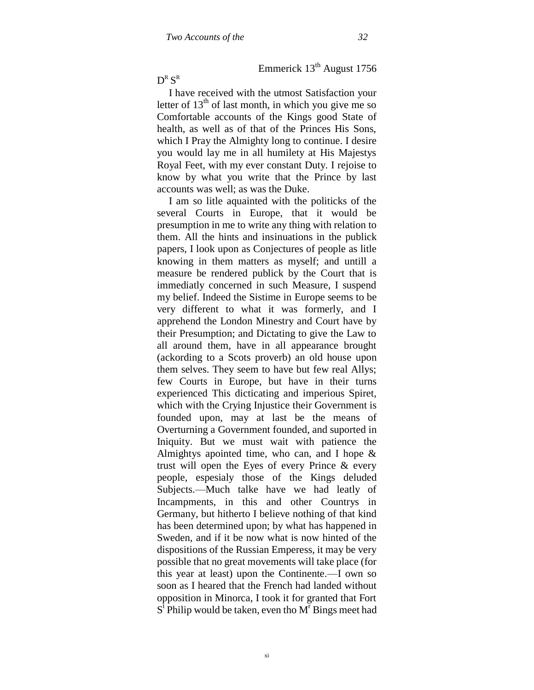Emmerick  $13<sup>th</sup>$  August 1756

 $\operatorname{D}^{\text{\tiny R}}\operatorname{S}^{\text{\tiny R}}$ 

I have received with the utmost Satisfaction your letter of  $13<sup>th</sup>$  of last month, in which you give me so Comfortable accounts of the Kings good State of health, as well as of that of the Princes His Sons, which I Pray the Almighty long to continue. I desire you would lay me in all humilety at His Majestys Royal Feet, with my ever constant Duty. I rejoise to know by what you write that the Prince by last accounts was well; as was the Duke.

I am so litle aquainted with the politicks of the several Courts in Europe, that it would be presumption in me to write any thing with relation to them. All the hints and insinuations in the publick papers, I look upon as Conjectures of people as litle knowing in them matters as myself; and untill a measure be rendered publick by the Court that is immediatly concerned in such Measure, I suspend my belief. Indeed the Sistime in Europe seems to be very different to what it was formerly, and I apprehend the London Minestry and Court have by their Presumption; and Dictating to give the Law to all around them, have in all appearance brought (ackording to a Scots proverb) an old house upon them selves. They seem to have but few real Allys; few Courts in Europe, but have in their turns experienced This dicticating and imperious Spiret, which with the Crying Injustice their Government is founded upon, may at last be the means of Overturning a Government founded, and suported in Iniquity. But we must wait with patience the Almightys apointed time, who can, and I hope & trust will open the Eyes of every Prince & every people, espesialy those of the Kings deluded Subjects.—Much talke have we had leatly of Incampments, in this and other Countrys in Germany, but hitherto I believe nothing of that kind has been determined upon; by what has happened in Sweden, and if it be now what is now hinted of the dispositions of the Russian Emperess, it may be very possible that no great movements will take place (for this year at least) upon the Continente.—I own so soon as I heared that the French had landed without opposition in Minorca, I took it for granted that Fort  $S^{\dagger}$  Philip would be taken, even tho  $M^{\dagger}$  Bings meet had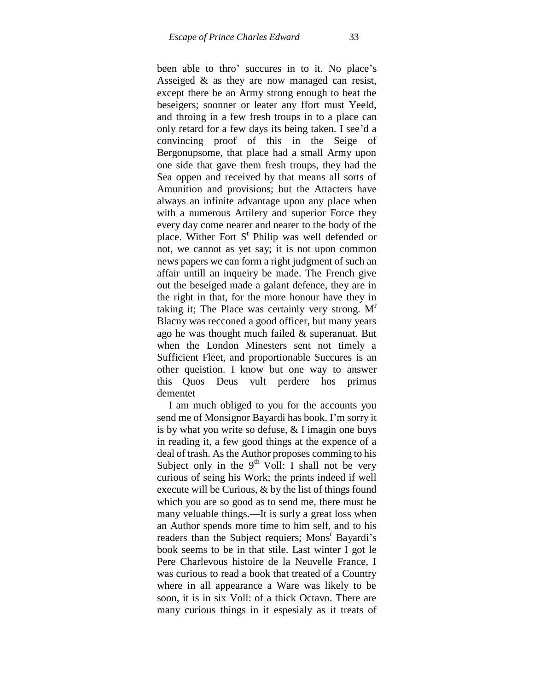been able to thro' succures in to it. No place's Asseiged & as they are now managed can resist, except there be an Army strong enough to beat the beseigers; soonner or leater any ffort must Yeeld, and throing in a few fresh troups in to a place can only retard for a few days its being taken. I see"d a convincing proof of this in the Seige of Bergonupsome, that place had a small Army upon one side that gave them fresh troups, they had the Sea oppen and received by that means all sorts of Amunition and provisions; but the Attacters have always an infinite advantage upon any place when with a numerous Artilery and superior Force they every day come nearer and nearer to the body of the place. Wither Fort  $S<sup>t</sup>$  Philip was well defended or not, we cannot as yet say; it is not upon common news papers we can form a right judgment of such an affair untill an inqueiry be made. The French give out the beseiged made a galant defence, they are in the right in that, for the more honour have they in taking it; The Place was certainly very strong.  $M<sup>r</sup>$ Blacny was recconed a good officer, but many years ago he was thought much failed & superanuat. But when the London Minesters sent not timely a Sufficient Fleet, and proportionable Succures is an other queistion. I know but one way to answer this—Quos Deus vult perdere hos primus dementet—

I am much obliged to you for the accounts you send me of Monsignor Bayardi has book. I"m sorry it is by what you write so defuse, & I imagin one buys in reading it, a few good things at the expence of a deal of trash. As the Author proposes comming to his Subject only in the  $9<sup>th</sup>$  Voll: I shall not be very curious of seing his Work; the prints indeed if well execute will be Curious, & by the list of things found which you are so good as to send me, there must be many veluable things.—It is surly a great loss when an Author spends more time to him self, and to his readers than the Subject requiers; Mons<sup>r</sup> Bayardi's book seems to be in that stile. Last winter I got le Pere Charlevous histoire de la Neuvelle France, I was curious to read a book that treated of a Country where in all appearance a Ware was likely to be soon, it is in six Voll: of a thick Octavo. There are many curious things in it espesialy as it treats of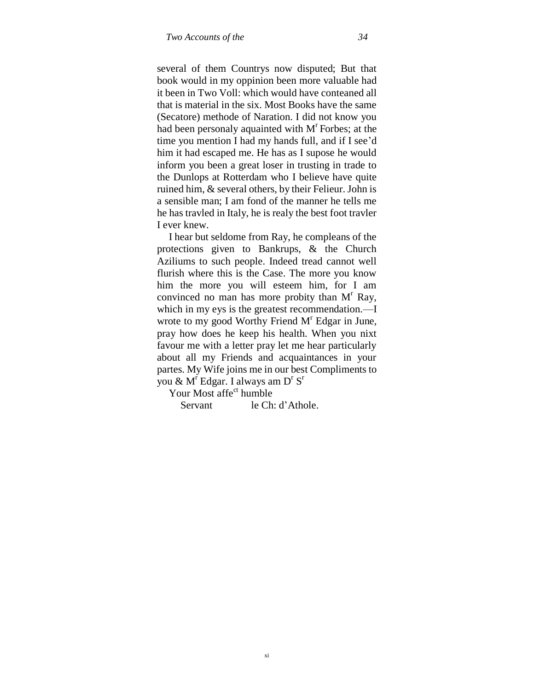several of them Countrys now disputed; But that book would in my oppinion been more valuable had it been in Two Voll: which would have conteaned all that is material in the six. Most Books have the same (Secatore) methode of Naration. I did not know you had been personaly aquainted with  $M<sup>r</sup>$  Forbes; at the time you mention I had my hands full, and if I see"d him it had escaped me. He has as I supose he would inform you been a great loser in trusting in trade to the Dunlops at Rotterdam who I believe have quite ruined him, & several others, by their Felieur. John is a sensible man; I am fond of the manner he tells me he has travled in Italy, he is realy the best foot travler I ever knew.

I hear but seldome from Ray, he compleans of the protections given to Bankrups, & the Church Aziliums to such people. Indeed tread cannot well flurish where this is the Case. The more you know him the more you will esteem him, for I am convinced no man has more probity than  $M<sup>r</sup>$  Ray, which in my eys is the greatest recommendation.—I wrote to my good Worthy Friend  $M<sup>r</sup>$  Edgar in June, pray how does he keep his health. When you nixt favour me with a letter pray let me hear particularly about all my Friends and acquaintances in your partes. My Wife joins me in our best Compliments to you &  $M^r$  Edgar. I always am  $D^rS^r$ 

Your Most affe<sup>ct</sup> humble

Servant le Ch: d'Athole.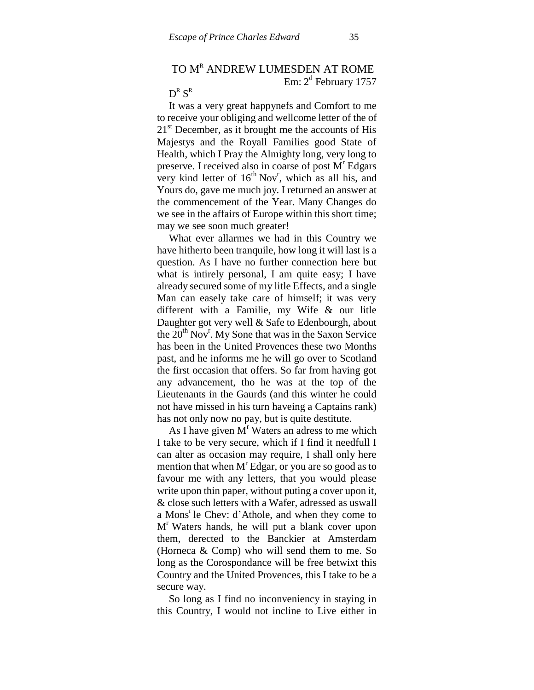# TO M<sup>R</sup> ANDREW LUMESDEN AT ROME

Em: 2<sup>d</sup> February 1757

# $\operatorname{D}^{\text{\tiny R}}\operatorname{S}^{\text{\tiny R}}$

It was a very great happynefs and Comfort to me to receive your obliging and wellcome letter of the of  $21<sup>st</sup>$  December, as it brought me the accounts of His Majestys and the Royall Families good State of Health, which I Pray the Almighty long, very long to preserve. I received also in coarse of post M<sup>r</sup> Edgars very kind letter of  $16<sup>th</sup> Nov<sup>r</sup>$ , which as all his, and Yours do, gave me much joy. I returned an answer at the commencement of the Year. Many Changes do we see in the affairs of Europe within this short time; may we see soon much greater!

What ever allarmes we had in this Country we have hitherto been tranquile, how long it will last is a question. As I have no further connection here but what is intirely personal, I am quite easy; I have already secured some of my litle Effects, and a single Man can easely take care of himself; it was very different with a Familie, my Wife & our litle Daughter got very well & Safe to Edenbourgh, about the  $20^{th}$  Nov<sup>r</sup>. My Sone that was in the Saxon Service has been in the United Provences these two Months past, and he informs me he will go over to Scotland the first occasion that offers. So far from having got any advancement, tho he was at the top of the Lieutenants in the Gaurds (and this winter he could not have missed in his turn haveing a Captains rank) has not only now no pay, but is quite destitute.

As I have given  $M<sup>r</sup>$  Waters an adress to me which I take to be very secure, which if I find it needfull I can alter as occasion may require, I shall only here mention that when  $M<sup>r</sup>$  Edgar, or you are so good as to favour me with any letters, that you would please write upon thin paper, without puting a cover upon it, & close such letters with a Wafer, adressed as uswall a Mons<sup>r</sup> le Chev: d'Athole, and when they come to M<sup>r</sup> Waters hands, he will put a blank cover upon them, derected to the Banckier at Amsterdam (Horneca & Comp) who will send them to me. So long as the Corospondance will be free betwixt this Country and the United Provences, this I take to be a secure way.

So long as I find no inconveniency in staying in this Country, I would not incline to Live either in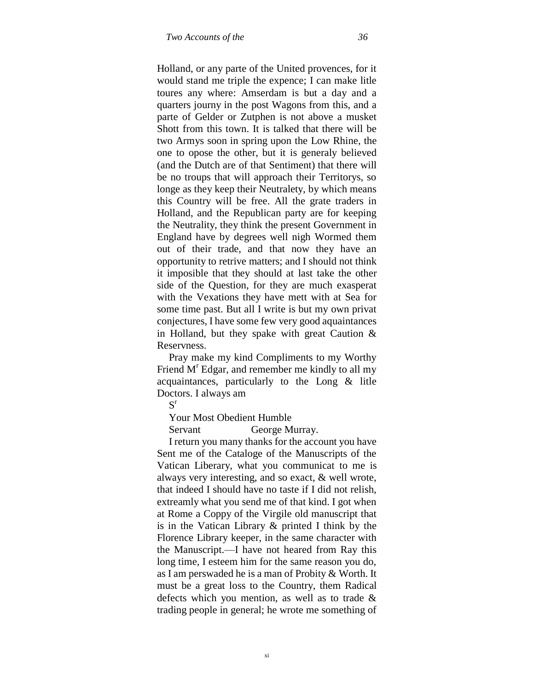Holland, or any parte of the United provences, for it would stand me triple the expence; I can make litle toures any where: Amserdam is but a day and a quarters journy in the post Wagons from this, and a parte of Gelder or Zutphen is not above a musket Shott from this town. It is talked that there will be two Armys soon in spring upon the Low Rhine, the one to opose the other, but it is generaly believed (and the Dutch are of that Sentiment) that there will be no troups that will approach their Territorys, so longe as they keep their Neutralety, by which means this Country will be free. All the grate traders in Holland, and the Republican party are for keeping the Neutrality, they think the present Government in England have by degrees well nigh Wormed them out of their trade, and that now they have an opportunity to retrive matters; and I should not think it imposible that they should at last take the other side of the Question, for they are much exasperat with the Vexations they have mett with at Sea for some time past. But all I write is but my own privat conjectures, I have some few very good aquaintances in Holland, but they spake with great Caution  $\&$ Reservness.

Pray make my kind Compliments to my Worthy Friend M<sup>r</sup> Edgar, and remember me kindly to all my acquaintances, particularly to the Long & litle Doctors. I always am

 $S^r$ 

Your Most Obedient Humble

Servant George Murray.

I return you many thanks for the account you have Sent me of the Cataloge of the Manuscripts of the Vatican Liberary, what you communicat to me is always very interesting, and so exact, & well wrote, that indeed I should have no taste if I did not relish, extreamly what you send me of that kind. I got when at Rome a Coppy of the Virgile old manuscript that is in the Vatican Library & printed I think by the Florence Library keeper, in the same character with the Manuscript.—I have not heared from Ray this long time, I esteem him for the same reason you do, as I am perswaded he is a man of Probity & Worth. It must be a great loss to the Country, them Radical defects which you mention, as well as to trade & trading people in general; he wrote me something of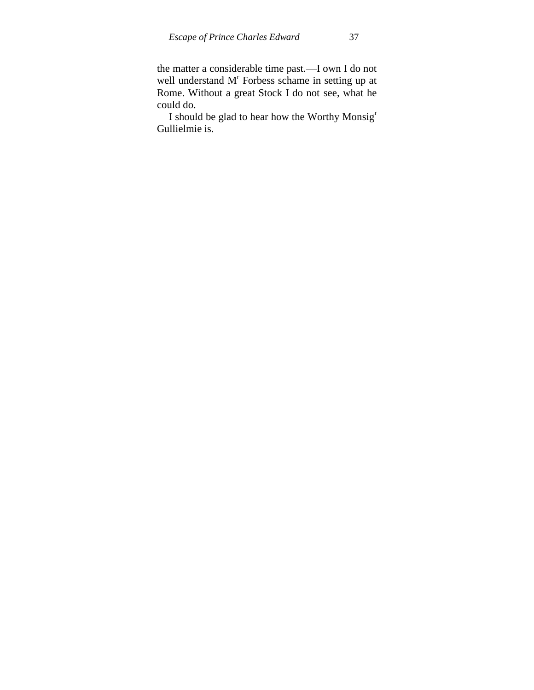the matter a considerable time past.—I own I do not well understand M<sup>r</sup> Forbess schame in setting up at Rome. Without a great Stock I do not see, what he could do.

I should be glad to hear how the Worthy Monsig<sup>r</sup> Gullielmie is.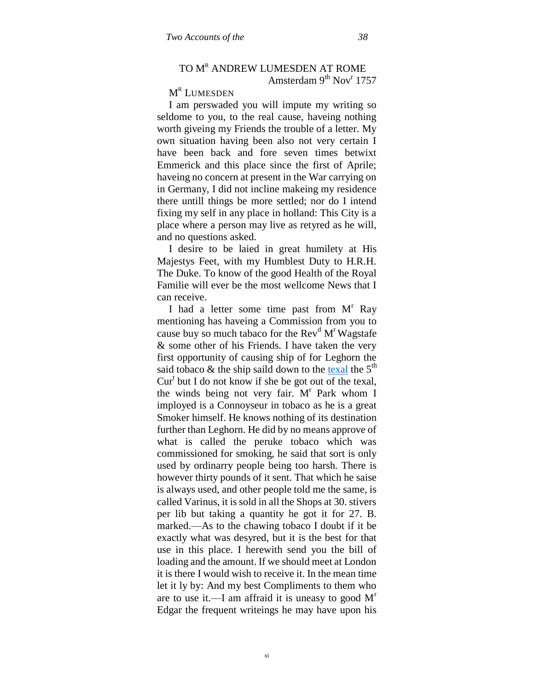# TO M<sup>R</sup> ANDREW LUMESDEN AT ROME Amsterdam 9<sup>th</sup> Nov<sup>r</sup> 1757

# M<sup>r</sup> Lumesden

I am perswaded you will impute my writing so seldome to you, to the real cause, haveing nothing worth giveing my Friends the trouble of a letter. My own situation having been also not very certain I have been back and fore seven times betwixt Emmerick and this place since the first of Aprile; haveing no concern at present in the War carrying on in Germany, I did not incline makeing my residence there untill things be more settled; nor do I intend fixing my self in any place in holland: This City is a place where a person may live as retyred as he will, and no questions asked.

I desire to be laied in great humilety at His Majestys Feet, with my Humblest Duty to H.R.H. The Duke. To know of the good Health of the Royal Familie will ever be the most wellcome News that I can receive.

I had a letter some time past from  $M<sup>r</sup>$  Ray mentioning has haveing a Commission from you to cause buy so much tabaco for the  $Rev<sup>d</sup> M<sup>r</sup> Wagstate$ & some other of his Friends. I have taken the very first opportunity of causing ship of for Leghorn the said tobaco & the ship saild down to the [texal](http://maps.google.com/maps?hl=en&q=texel+holland&ie=UTF8&hq=&hnear=Texel,+The+Netherlands&gl=us&sqi=2&ll=53.018088,4.801712&spn=0.315164,0.567169&t=h&z=11) the  $5<sup>th</sup>$ Cur<sup>t</sup> but I do not know if she be got out of the texal, the winds being not very fair.  $M<sup>r</sup>$  Park whom I imployed is a Connoyseur in tobaco as he is a great Smoker himself. He knows nothing of its destination further than Leghorn. He did by no means approve of what is called the peruke tobaco which was commissioned for smoking, he said that sort is only used by ordinarry people being too harsh. There is however thirty pounds of it sent. That which he saise is always used, and other people told me the same, is called Varinus, it is sold in all the Shops at 30. stivers per lib but taking a quantity he got it for 27. B. marked.—As to the chawing tobaco I doubt if it be exactly what was desyred, but it is the best for that use in this place. I herewith send you the bill of loading and the amount. If we should meet at London it is there I would wish to receive it. In the mean time let it ly by: And my best Compliments to them who are to use it.—I am affraid it is uneasy to good  $M<sup>r</sup>$ Edgar the frequent writeings he may have upon his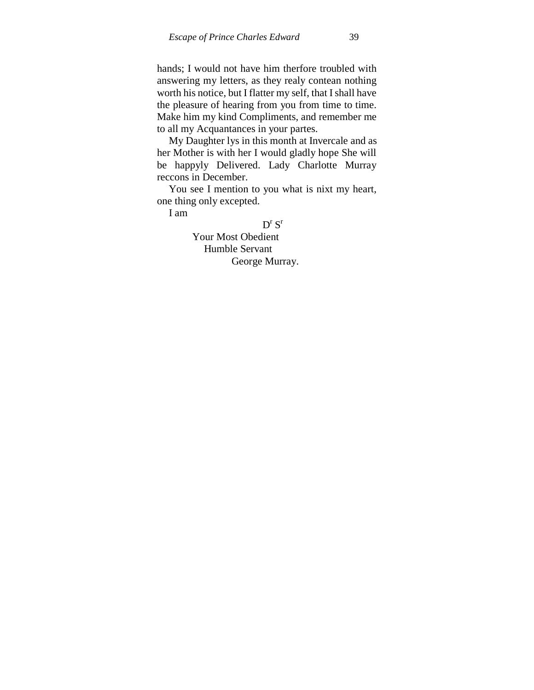hands; I would not have him therfore troubled with answering my letters, as they realy contean nothing worth his notice, but I flatter my self, that I shall have the pleasure of hearing from you from time to time. Make him my kind Compliments, and remember me to all my Acquantances in your partes.

My Daughter lys in this month at Invercale and as her Mother is with her I would gladly hope She will be happyly Delivered. Lady Charlotte Murray reccons in December.

You see I mention to you what is nixt my heart, one thing only excepted.

I am

 $D^{r}S^{r}$ Your Most Obedient Humble Servant George Murray.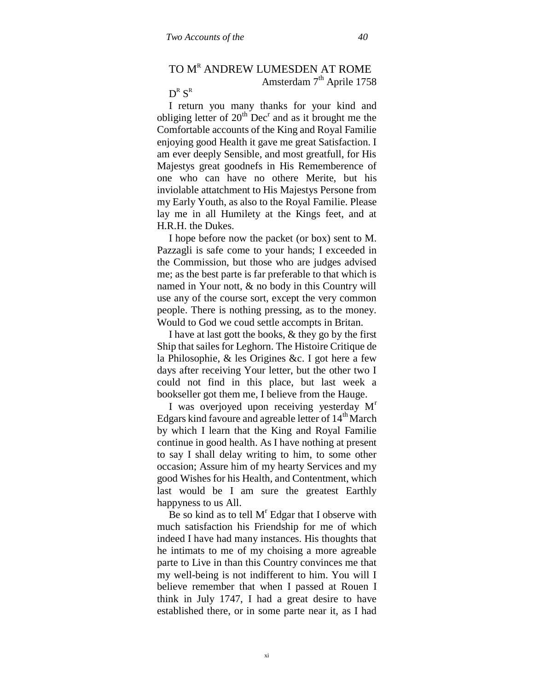# TO M<sup>R</sup> ANDREW LUMESDEN AT ROME Amsterdam 7<sup>th</sup> Aprile 1758

# $\operatorname{D}^{\text{\tiny R}}\operatorname{S}^{\text{\tiny R}}$

I return you many thanks for your kind and obliging letter of  $20<sup>th</sup>$  Dec<sup>r</sup> and as it brought me the Comfortable accounts of the King and Royal Familie enjoying good Health it gave me great Satisfaction. I am ever deeply Sensible, and most greatfull, for His Majestys great goodnefs in His Rememberence of one who can have no othere Merite, but his inviolable attatchment to His Majestys Persone from my Early Youth, as also to the Royal Familie. Please lay me in all Humilety at the Kings feet, and at H.R.H. the Dukes.

I hope before now the packet (or box) sent to M. Pazzagli is safe come to your hands; I exceeded in the Commission, but those who are judges advised me; as the best parte is far preferable to that which is named in Your nott, & no body in this Country will use any of the course sort, except the very common people. There is nothing pressing, as to the money. Would to God we coud settle accompts in Britan.

I have at last gott the books, & they go by the first Ship that sailes for Leghorn. The Histoire Critique de la Philosophie, & les Origines &c. I got here a few days after receiving Your letter, but the other two I could not find in this place, but last week a bookseller got them me, I believe from the Hauge.

I was overjoyed upon receiving yesterday  $M<sup>r</sup>$ Edgars kind favoure and agreable letter of  $14<sup>th</sup>$  March by which I learn that the King and Royal Familie continue in good health. As I have nothing at present to say I shall delay writing to him, to some other occasion; Assure him of my hearty Services and my good Wishes for his Health, and Contentment, which last would be I am sure the greatest Earthly happyness to us All.

Be so kind as to tell  $M<sup>r</sup>$  Edgar that I observe with much satisfaction his Friendship for me of which indeed I have had many instances. His thoughts that he intimats to me of my choising a more agreable parte to Live in than this Country convinces me that my well-being is not indifferent to him. You will I believe remember that when I passed at Rouen I think in July 1747, I had a great desire to have established there, or in some parte near it, as I had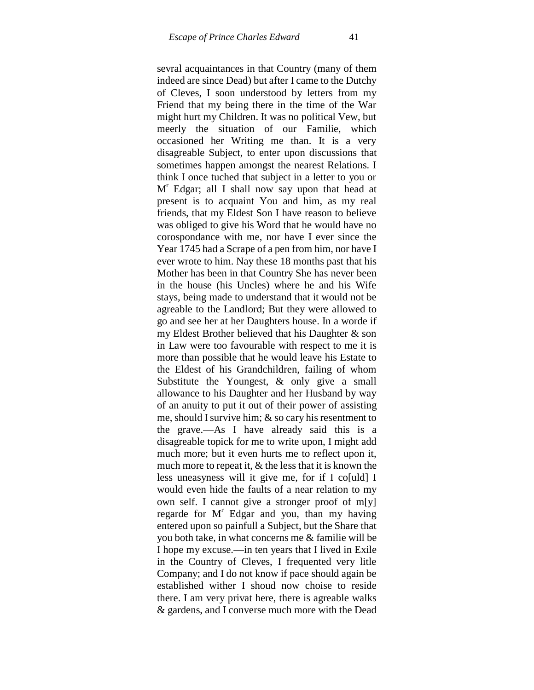sevral acquaintances in that Country (many of them indeed are since Dead) but after I came to the Dutchy of Cleves, I soon understood by letters from my Friend that my being there in the time of the War might hurt my Children. It was no political Vew, but meerly the situation of our Familie, which occasioned her Writing me than. It is a very disagreable Subject, to enter upon discussions that sometimes happen amongst the nearest Relations. I think I once tuched that subject in a letter to you or M<sup>r</sup> Edgar; all I shall now say upon that head at present is to acquaint You and him, as my real friends, that my Eldest Son I have reason to believe was obliged to give his Word that he would have no corospondance with me, nor have I ever since the Year 1745 had a Scrape of a pen from him, nor have I ever wrote to him. Nay these 18 months past that his Mother has been in that Country She has never been in the house (his Uncles) where he and his Wife stays, being made to understand that it would not be agreable to the Landlord; But they were allowed to go and see her at her Daughters house. In a worde if my Eldest Brother believed that his Daughter & son in Law were too favourable with respect to me it is more than possible that he would leave his Estate to the Eldest of his Grandchildren, failing of whom Substitute the Youngest, & only give a small allowance to his Daughter and her Husband by way of an anuity to put it out of their power of assisting me, should I survive him; & so cary his resentment to the grave.—As I have already said this is a disagreable topick for me to write upon, I might add much more; but it even hurts me to reflect upon it, much more to repeat it, & the less that it is known the less uneasyness will it give me, for if I co[uld] I would even hide the faults of a near relation to my own self. I cannot give a stronger proof of m[y] regarde for  $M^r$  Edgar and you, than my having entered upon so painfull a Subject, but the Share that you both take, in what concerns me & familie will be I hope my excuse.—in ten years that I lived in Exile in the Country of Cleves, I frequented very litle Company; and I do not know if pace should again be established wither I shoud now choise to reside there. I am very privat here, there is agreable walks & gardens, and I converse much more with the Dead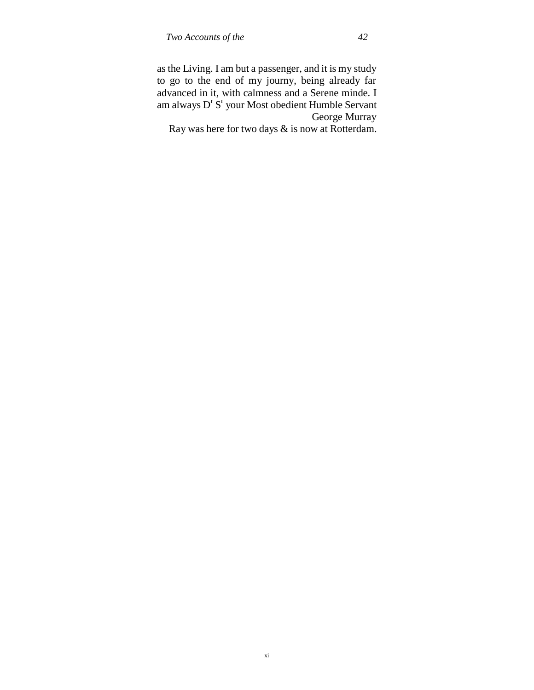as the Living. I am but a passenger, and it is my study to go to the end of my journy, being already far advanced in it, with calmness and a Serene minde. I am always D<sup>r</sup> S<sup>r</sup> your Most obedient Humble Servant George Murray

Ray was here for two days & is now at Rotterdam.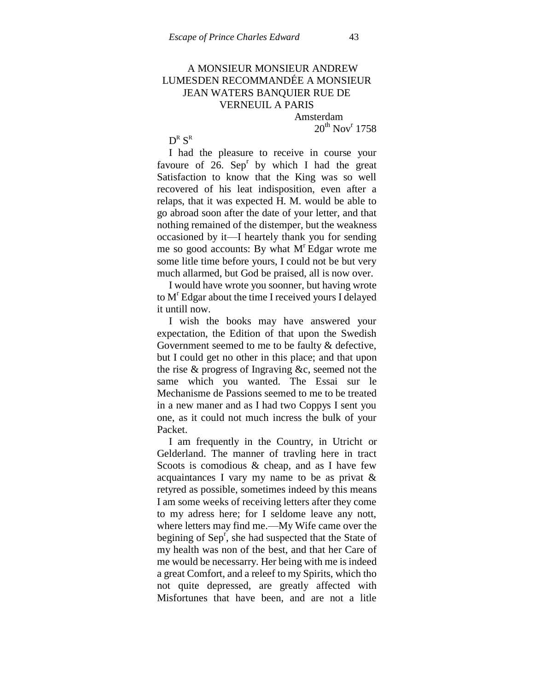# A MONSIEUR MONSIEUR ANDREW LUMESDEN RECOMMANDÉE A MONSIEUR JEAN WATERS BANQUIER RUE DE VERNEUIL A PARIS

Amsterdam  $20^{\text{th}}$  Nov<sup>r</sup> 1758

 $\operatorname{D}^{\text{\tiny R}}\operatorname{S}^{\text{\tiny R}}$ 

I had the pleasure to receive in course your favoure of  $26$ . Sep<sup>r</sup> by which I had the great Satisfaction to know that the King was so well recovered of his leat indisposition, even after a relaps, that it was expected H. M. would be able to go abroad soon after the date of your letter, and that nothing remained of the distemper, but the weakness occasioned by it—I heartely thank you for sending me so good accounts: By what  $M<sup>r</sup>$  Edgar wrote me some litle time before yours, I could not be but very much allarmed, but God be praised, all is now over.

I would have wrote you soonner, but having wrote to M<sup>r</sup> Edgar about the time I received yours I delayed it untill now.

I wish the books may have answered your expectation, the Edition of that upon the Swedish Government seemed to me to be faulty & defective, but I could get no other in this place; and that upon the rise & progress of Ingraving &c, seemed not the same which you wanted. The Essai sur le Mechanisme de Passions seemed to me to be treated in a new maner and as I had two Coppys I sent you one, as it could not much incress the bulk of your Packet.

I am frequently in the Country, in Utricht or Gelderland. The manner of travling here in tract Scoots is comodious & cheap, and as I have few acquaintances I vary my name to be as privat & retyred as possible, sometimes indeed by this means I am some weeks of receiving letters after they come to my adress here; for I seldome leave any nott, where letters may find me.—My Wife came over the begining of  $Sep<sup>r</sup>$ , she had suspected that the State of my health was non of the best, and that her Care of me would be necessarry. Her being with me is indeed a great Comfort, and a releef to my Spirits, which tho not quite depressed, are greatly affected with Misfortunes that have been, and are not a litle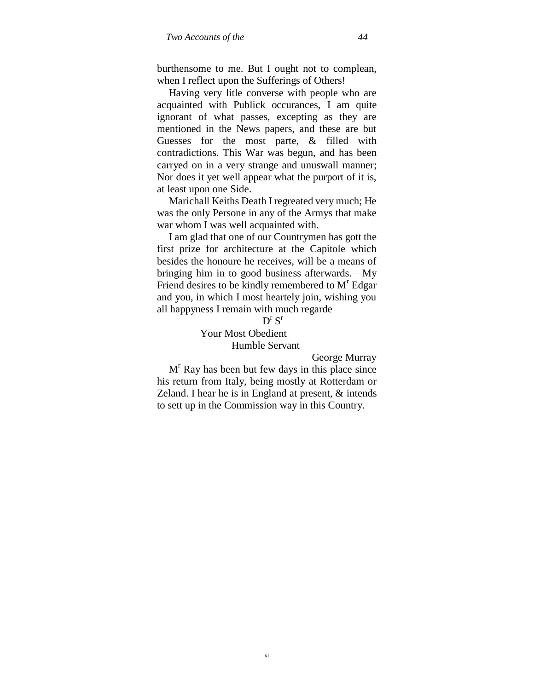burthensome to me. But I ought not to complean, when I reflect upon the Sufferings of Others!

Having very litle converse with people who are acquainted with Publick occurances, I am quite ignorant of what passes, excepting as they are mentioned in the News papers, and these are but Guesses for the most parte, & filled with contradictions. This War was begun, and has been carryed on in a very strange and unuswall manner; Nor does it yet well appear what the purport of it is, at least upon one Side.

Marichall Keiths Death I regreated very much; He was the only Persone in any of the Armys that make war whom I was well acquainted with.

I am glad that one of our Countrymen has gott the first prize for architecture at the Capitole which besides the honoure he receives, will be a means of bringing him in to good business afterwards.—My Friend desires to be kindly remembered to M<sup>r</sup> Edgar and you, in which I most heartely join, wishing you all happyness I remain with much regarde

 $D^{r}S^{r}$ Your Most Obedient Humble Servant

George Murray

 $M<sup>r</sup>$  Ray has been but few days in this place since his return from Italy, being mostly at Rotterdam or Zeland. I hear he is in England at present, & intends to sett up in the Commission way in this Country.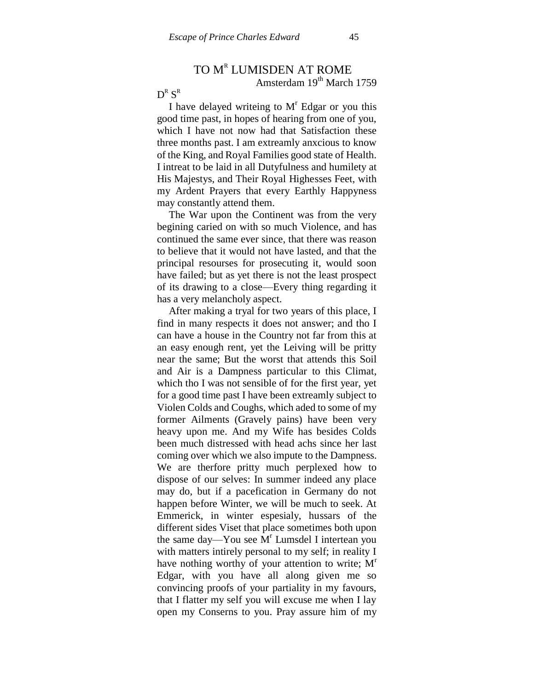# TO M<sup>r</sup> LUMISDEN AT ROME Amsterdam  $19<sup>th</sup>$  March 1759

# $\operatorname{D}^{\text{\tiny R}}\operatorname{S}^{\text{\tiny R}}$

I have delayed writeing to  $M<sup>r</sup>$  Edgar or you this good time past, in hopes of hearing from one of you, which I have not now had that Satisfaction these three months past. I am extreamly anxcious to know of the King, and Royal Families good state of Health. I intreat to be laid in all Dutyfulness and humilety at His Majestys, and Their Royal Highesses Feet, with my Ardent Prayers that every Earthly Happyness may constantly attend them.

The War upon the Continent was from the very begining caried on with so much Violence, and has continued the same ever since, that there was reason to believe that it would not have lasted, and that the principal resourses for prosecuting it, would soon have failed; but as yet there is not the least prospect of its drawing to a close—Every thing regarding it has a very melancholy aspect.

After making a tryal for two years of this place, I find in many respects it does not answer; and tho I can have a house in the Country not far from this at an easy enough rent, yet the Leiving will be pritty near the same; But the worst that attends this Soil and Air is a Dampness particular to this Climat, which tho I was not sensible of for the first year, yet for a good time past I have been extreamly subject to Violen Colds and Coughs, which aded to some of my former Ailments (Gravely pains) have been very heavy upon me. And my Wife has besides Colds been much distressed with head achs since her last coming over which we also impute to the Dampness. We are therfore pritty much perplexed how to dispose of our selves: In summer indeed any place may do, but if a pacefication in Germany do not happen before Winter, we will be much to seek. At Emmerick, in winter espesialy, hussars of the different sides Viset that place sometimes both upon the same day—You see  $\overline{M}^r$  Lumsdel I intertean you with matters intirely personal to my self; in reality I have nothing worthy of your attention to write;  $M<sup>r</sup>$ Edgar, with you have all along given me so convincing proofs of your partiality in my favours, that I flatter my self you will excuse me when I lay open my Conserns to you. Pray assure him of my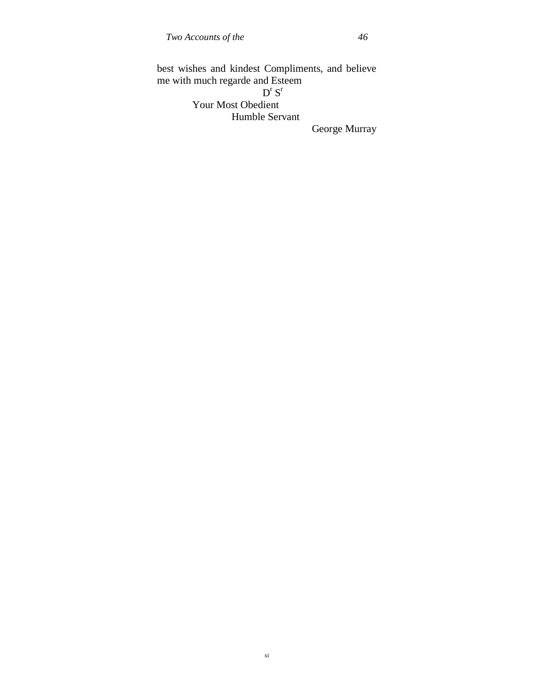best wishes and kindest Compliments, and believe me with much regarde and Esteem  $D^{r}S^{r}$ Your Most Obedient Humble Servant

George Murray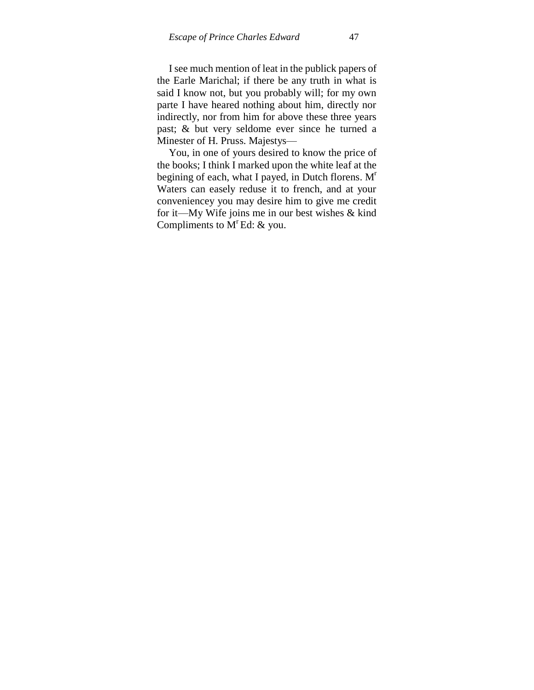I see much mention of leat in the publick papers of the Earle Marichal; if there be any truth in what is said I know not, but you probably will; for my own parte I have heared nothing about him, directly nor indirectly, nor from him for above these three years past; & but very seldome ever since he turned a Minester of H. Pruss. Majestys—

You, in one of yours desired to know the price of the books; I think I marked upon the white leaf at the begining of each, what I payed, in Dutch florens. M<sup>r</sup> Waters can easely reduse it to french, and at your conveniencey you may desire him to give me credit for it—My Wife joins me in our best wishes & kind Compliments to  $M^r$  Ed: & you.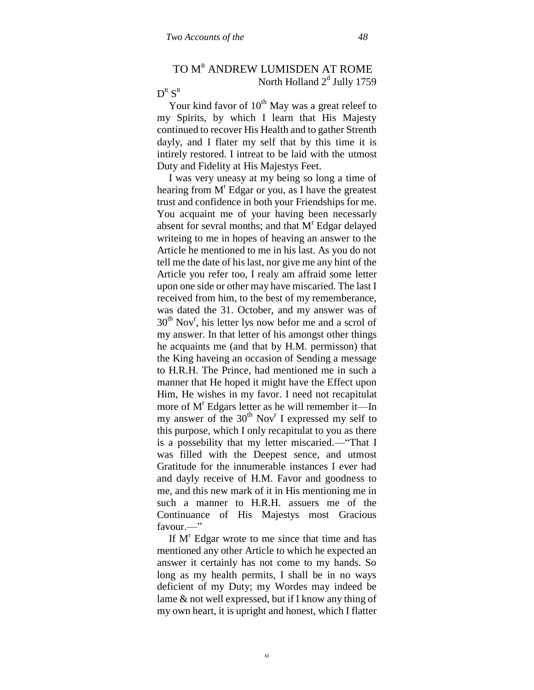# TO MR ANDREW LUMISDEN AT ROME North Holland  $2<sup>d</sup>$  Jully 1759

# $\operatorname{D}^{\text{\tiny R}}\operatorname{S}^{\text{\tiny R}}$

Your kind favor of  $10^{th}$  May was a great releef to my Spirits, by which I learn that His Majesty continued to recover His Health and to gather Strenth dayly, and I flater my self that by this time it is intirely restored. I intreat to be laid with the utmost Duty and Fidelity at His Majestys Feet.

I was very uneasy at my being so long a time of hearing from M<sup>r</sup> Edgar or you, as I have the greatest trust and confidence in both your Friendships for me. You acquaint me of your having been necessarly absent for sevral months; and that  $M<sup>r</sup>$  Edgar delayed writeing to me in hopes of heaving an answer to the Article he mentioned to me in his last. As you do not tell me the date of his last, nor give me any hint of the Article you refer too, I realy am affraid some letter upon one side or other may have miscaried. The last I received from him, to the best of my rememberance, was dated the 31. October, and my answer was of  $30<sup>th</sup>$  Nov<sup>r</sup>, his letter lys now befor me and a scrol of my answer. In that letter of his amongst other things he acquaints me (and that by H.M. permisson) that the King haveing an occasion of Sending a message to H.R.H. The Prince, had mentioned me in such a manner that He hoped it might have the Effect upon Him, He wishes in my favor. I need not recapitulat more of M<sup>r</sup> Edgars letter as he will remember it—In my answer of the  $30<sup>th</sup>$  Nov<sup>r</sup> I expressed my self to this purpose, which I only recapitulat to you as there is a possebility that my letter miscaried.—"That I was filled with the Deepest sence, and utmost Gratitude for the innumerable instances I ever had and dayly receive of H.M. Favor and goodness to me, and this new mark of it in His mentioning me in such a manner to H.R.H. assuers me of the Continuance of His Majestys most Gracious favour.—"

If  $M<sup>r</sup>$  Edgar wrote to me since that time and has mentioned any other Article to which he expected an answer it certainly has not come to my hands. So long as my health permits, I shall be in no ways deficient of my Duty; my Wordes may indeed be lame & not well expressed, but if I know any thing of my own heart, it is upright and honest, which I flatter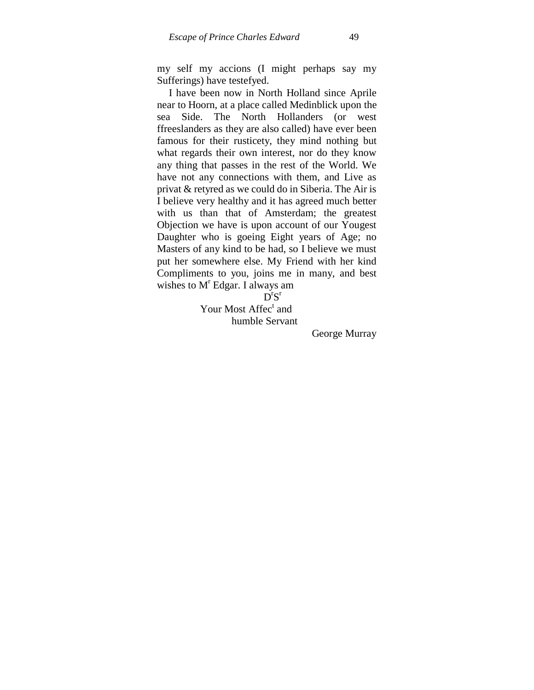my self my accions (I might perhaps say my Sufferings) have testefyed.

I have been now in North Holland since Aprile near to Hoorn, at a place called Medinblick upon the sea Side. The North Hollanders (or west ffreeslanders as they are also called) have ever been famous for their rusticety, they mind nothing but what regards their own interest, nor do they know any thing that passes in the rest of the World. We have not any connections with them, and Live as privat & retyred as we could do in Siberia. The Air is I believe very healthy and it has agreed much better with us than that of Amsterdam; the greatest Objection we have is upon account of our Yougest Daughter who is goeing Eight years of Age; no Masters of any kind to be had, so I believe we must put her somewhere else. My Friend with her kind Compliments to you, joins me in many, and best wishes to M<sup>r</sup> Edgar. I always am

 $\overline{D}^rS^r$ 

Your Most Affec<sup>t</sup> and humble Servant

George Murray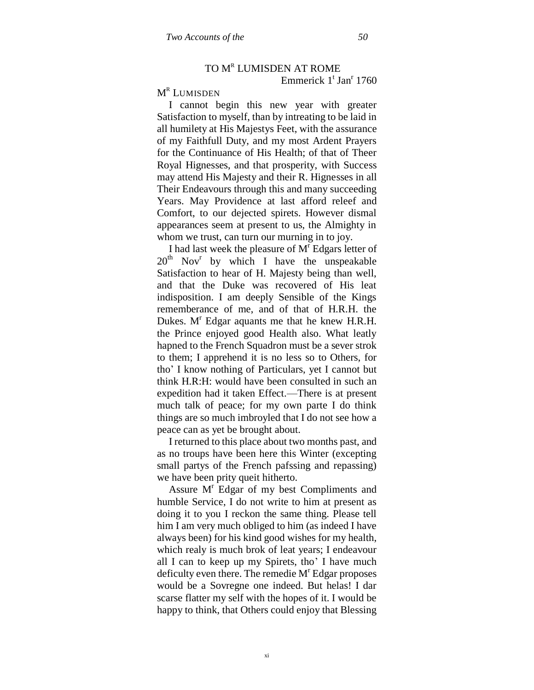# TO MR LUMISDEN AT ROME

Emmerick 1<sup>t</sup> Jan<sup>r</sup> 1760

# $M^R$  Lumisden

I cannot begin this new year with greater Satisfaction to myself, than by intreating to be laid in all humilety at His Majestys Feet, with the assurance of my Faithfull Duty, and my most Ardent Prayers for the Continuance of His Health; of that of Theer Royal Hignesses, and that prosperity, with Success may attend His Majesty and their R. Hignesses in all Their Endeavours through this and many succeeding Years. May Providence at last afford releef and Comfort, to our dejected spirets. However dismal appearances seem at present to us, the Almighty in whom we trust, can turn our murning in to joy.

I had last week the pleasure of  $M<sup>r</sup>$  Edgars letter of 20<sup>th</sup> Nov<sup>r</sup> by which I have the unspeakable Satisfaction to hear of H. Majesty being than well, and that the Duke was recovered of His leat indisposition. I am deeply Sensible of the Kings rememberance of me, and of that of H.R.H. the Dukes.  $M<sup>r</sup>$  Edgar aquants me that he knew H.R.H. the Prince enjoyed good Health also. What leatly hapned to the French Squadron must be a sever strok to them; I apprehend it is no less so to Others, for tho" I know nothing of Particulars, yet I cannot but think H.R:H: would have been consulted in such an expedition had it taken Effect.—There is at present much talk of peace; for my own parte I do think things are so much imbroyled that I do not see how a peace can as yet be brought about.

I returned to this place about two months past, and as no troups have been here this Winter (excepting small partys of the French pafssing and repassing) we have been prity queit hitherto.

Assure M<sup>r</sup> Edgar of my best Compliments and humble Service, I do not write to him at present as doing it to you I reckon the same thing. Please tell him I am very much obliged to him (as indeed I have always been) for his kind good wishes for my health, which realy is much brok of leat years; I endeavour all I can to keep up my Spirets, tho" I have much deficulty even there. The remedie  $M<sup>r</sup>$  Edgar proposes would be a Sovregne one indeed. But helas! I dar scarse flatter my self with the hopes of it. I would be happy to think, that Others could enjoy that Blessing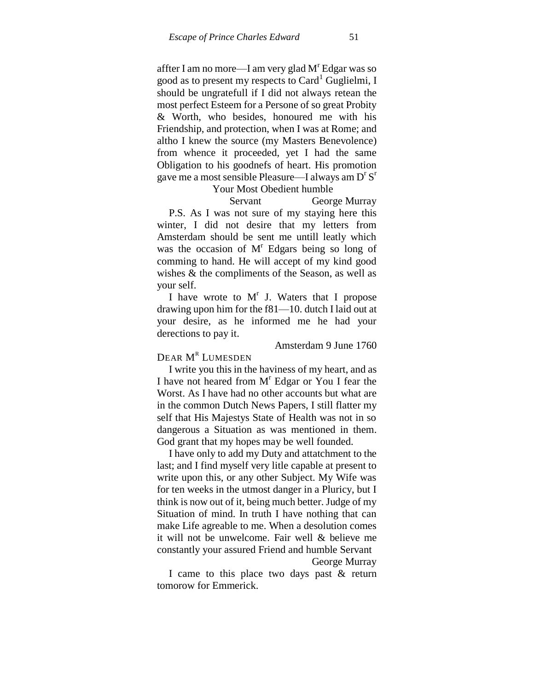affter I am no more—I am very glad  $M<sup>r</sup>$  Edgar was so good as to present my respects to  $Card<sup>1</sup>$  Guglielmi, I should be ungratefull if I did not always retean the most perfect Esteem for a Persone of so great Probity & Worth, who besides, honoured me with his Friendship, and protection, when I was at Rome; and altho I knew the source (my Masters Benevolence) from whence it proceeded, yet I had the same Obligation to his goodnefs of heart. His promotion gave me a most sensible Pleasure—I always am  $D^rS^r$ 

#### Your Most Obedient humble

Servant George Murray P.S. As I was not sure of my staying here this winter, I did not desire that my letters from Amsterdam should be sent me untill leatly which was the occasion of  $M<sup>r</sup>$  Edgars being so long of comming to hand. He will accept of my kind good wishes & the compliments of the Season, as well as your self.

I have wrote to  $M<sup>r</sup>$  J. Waters that I propose drawing upon him for the f81—10. dutch I laid out at your desire, as he informed me he had your derections to pay it.

#### Amsterdam 9 June 1760

# DEAR M<sup>r</sup> Lumesden

I write you this in the haviness of my heart, and as I have not heared from  $M<sup>r</sup>$  Edgar or You I fear the Worst. As I have had no other accounts but what are in the common Dutch News Papers, I still flatter my self that His Majestys State of Health was not in so dangerous a Situation as was mentioned in them. God grant that my hopes may be well founded.

I have only to add my Duty and attatchment to the last; and I find myself very litle capable at present to write upon this, or any other Subject. My Wife was for ten weeks in the utmost danger in a Pluricy, but I think is now out of it, being much better. Judge of my Situation of mind. In truth I have nothing that can make Life agreable to me. When a desolution comes it will not be unwelcome. Fair well & believe me constantly your assured Friend and humble Servant

George Murray

I came to this place two days past & return tomorow for Emmerick.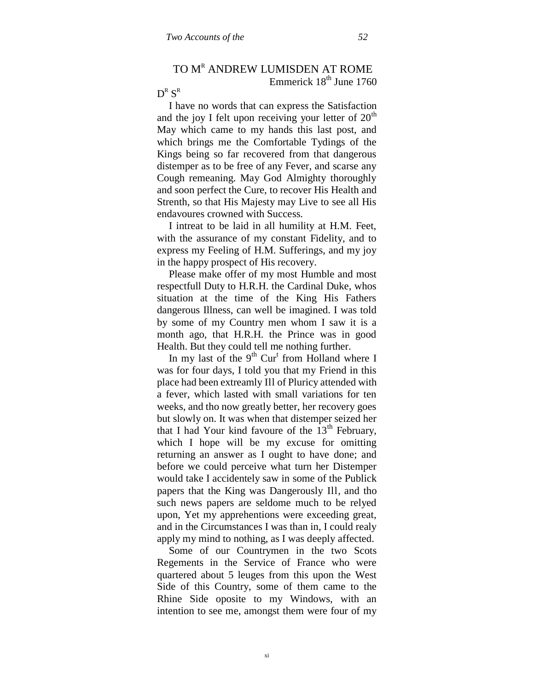# TO MR ANDREW LUMISDEN AT ROME Emmerick  $18<sup>th</sup>$  June 1760

# $\operatorname{D}^{\text{\tiny R}}\operatorname{S}^{\text{\tiny R}}$

I have no words that can express the Satisfaction and the joy I felt upon receiving your letter of  $20<sup>th</sup>$ May which came to my hands this last post, and which brings me the Comfortable Tydings of the Kings being so far recovered from that dangerous distemper as to be free of any Fever, and scarse any Cough remeaning. May God Almighty thoroughly and soon perfect the Cure, to recover His Health and Strenth, so that His Majesty may Live to see all His endavoures crowned with Success.

I intreat to be laid in all humility at H.M. Feet, with the assurance of my constant Fidelity, and to express my Feeling of H.M. Sufferings, and my joy in the happy prospect of His recovery.

Please make offer of my most Humble and most respectfull Duty to H.R.H. the Cardinal Duke, whos situation at the time of the King His Fathers dangerous Illness, can well be imagined. I was told by some of my Country men whom I saw it is a month ago, that H.R.H. the Prince was in good Health. But they could tell me nothing further.

In my last of the  $9<sup>th</sup>$  Cur<sup>t</sup> from Holland where I was for four days, I told you that my Friend in this place had been extreamly Ill of Pluricy attended with a fever, which lasted with small variations for ten weeks, and tho now greatly better, her recovery goes but slowly on. It was when that distemper seized her that I had Your kind favoure of the  $13<sup>th</sup>$  February, which I hope will be my excuse for omitting returning an answer as I ought to have done; and before we could perceive what turn her Distemper would take I accidentely saw in some of the Publick papers that the King was Dangerously Ill, and tho such news papers are seldome much to be relyed upon, Yet my apprehentions were exceeding great, and in the Circumstances I was than in, I could realy apply my mind to nothing, as I was deeply affected.

Some of our Countrymen in the two Scots Regements in the Service of France who were quartered about 5 leuges from this upon the West Side of this Country, some of them came to the Rhine Side oposite to my Windows, with an intention to see me, amongst them were four of my